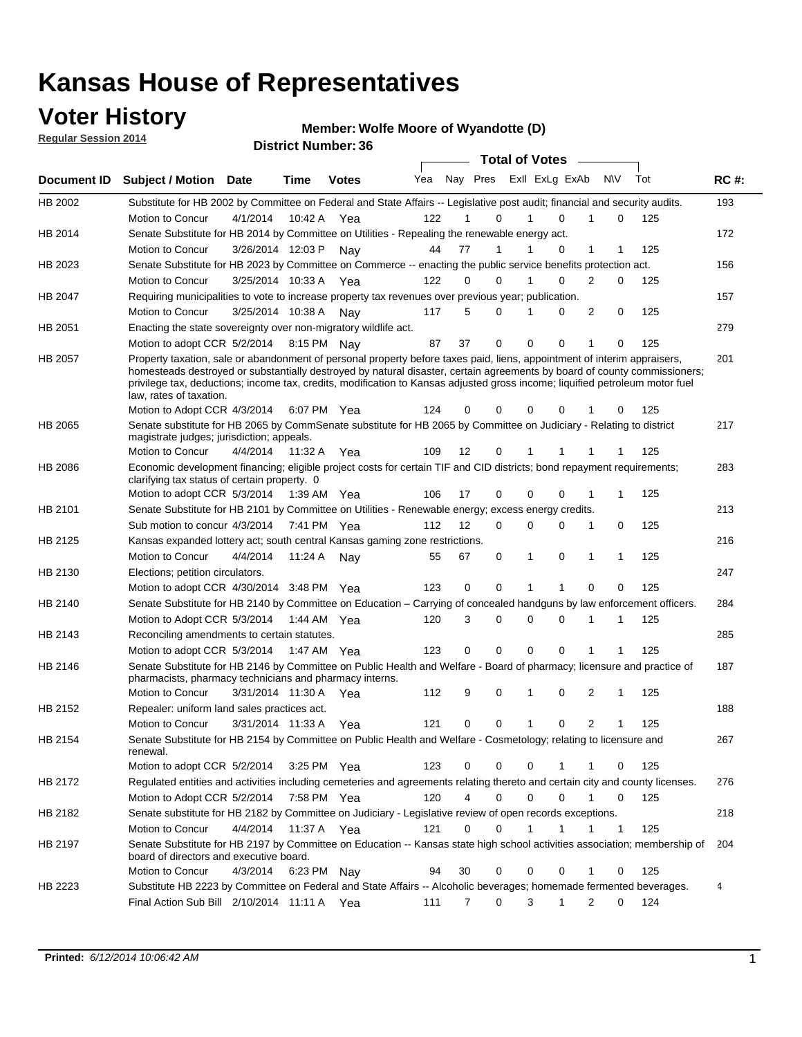### **Voter History**

**Regular Session 2014**

#### **Member: Wolfe Moore of Wyandotte (D)**

|             |                                                                                                                                                                                                                                                                                                                                                                                                                  |                       |             | <b>DISUILLINUIIINGI.JU</b> |     |          |             | <b>Total of Votes</b>   |                |              |     |             |
|-------------|------------------------------------------------------------------------------------------------------------------------------------------------------------------------------------------------------------------------------------------------------------------------------------------------------------------------------------------------------------------------------------------------------------------|-----------------------|-------------|----------------------------|-----|----------|-------------|-------------------------|----------------|--------------|-----|-------------|
| Document ID | <b>Subject / Motion Date</b>                                                                                                                                                                                                                                                                                                                                                                                     |                       | <b>Time</b> | <b>Votes</b>               | Yea |          | Nay Pres    | Exll ExLg ExAb          |                | <b>NV</b>    | Tot | <b>RC#:</b> |
| HB 2002     | Substitute for HB 2002 by Committee on Federal and State Affairs -- Legislative post audit; financial and security audits.                                                                                                                                                                                                                                                                                       |                       |             |                            |     |          |             |                         |                |              |     | 193         |
|             | Motion to Concur                                                                                                                                                                                                                                                                                                                                                                                                 | 4/1/2014              | 10:42 A     | Yea                        | 122 |          | $\Omega$    | 0                       | 1              | $\Omega$     | 125 |             |
| HB 2014     | Senate Substitute for HB 2014 by Committee on Utilities - Repealing the renewable energy act.                                                                                                                                                                                                                                                                                                                    |                       |             |                            |     |          |             |                         |                |              |     | 172         |
|             | Motion to Concur                                                                                                                                                                                                                                                                                                                                                                                                 | 3/26/2014 12:03 P Nay |             |                            | 44  | 77       | 1           | 0                       | 1              | 1            | 125 |             |
| HB 2023     | Senate Substitute for HB 2023 by Committee on Commerce -- enacting the public service benefits protection act.                                                                                                                                                                                                                                                                                                   |                       |             |                            |     |          |             |                         |                |              |     | 156         |
|             | Motion to Concur                                                                                                                                                                                                                                                                                                                                                                                                 | 3/25/2014 10:33 A Yea |             |                            | 122 | 0        | 0           | 0<br>1                  | $\overline{2}$ | 0            | 125 |             |
| HB 2047     | Requiring municipalities to vote to increase property tax revenues over previous year; publication.                                                                                                                                                                                                                                                                                                              |                       |             |                            |     |          |             |                         |                |              |     | 157         |
|             | Motion to Concur                                                                                                                                                                                                                                                                                                                                                                                                 | 3/25/2014 10:38 A Nay |             |                            | 117 | 5        | 0           | 0                       | 2              | 0            | 125 |             |
| HB 2051     | Enacting the state sovereignty over non-migratory wildlife act.                                                                                                                                                                                                                                                                                                                                                  |                       |             |                            |     |          |             |                         |                |              |     | 279         |
|             | Motion to adopt CCR 5/2/2014 8:15 PM Nay                                                                                                                                                                                                                                                                                                                                                                         |                       |             |                            | 87  | 37       | $\mathbf 0$ | $\Omega$<br>0           | 1              | 0            | 125 |             |
| HB 2057     | Property taxation, sale or abandonment of personal property before taxes paid, liens, appointment of interim appraisers,<br>homesteads destroyed or substantially destroyed by natural disaster, certain agreements by board of county commissioners;<br>privilege tax, deductions; income tax, credits, modification to Kansas adjusted gross income; liquified petroleum motor fuel<br>law, rates of taxation. |                       |             |                            |     |          |             |                         |                |              |     | 201         |
|             | Motion to Adopt CCR 4/3/2014                                                                                                                                                                                                                                                                                                                                                                                     |                       |             | 6:07 PM Yea                | 124 | 0        | 0           | $\Omega$<br>0           |                | 0            | 125 |             |
| HB 2065     | Senate substitute for HB 2065 by CommSenate substitute for HB 2065 by Committee on Judiciary - Relating to district<br>magistrate judges; jurisdiction; appeals.                                                                                                                                                                                                                                                 |                       |             |                            |     |          |             |                         |                |              |     | 217         |
|             | Motion to Concur                                                                                                                                                                                                                                                                                                                                                                                                 | 4/4/2014 11:32 A      |             | Yea                        | 109 | 12       | 0           | 1<br>1                  | 1              | 1            | 125 |             |
| HB 2086     | Economic development financing; eligible project costs for certain TIF and CID districts; bond repayment requirements;<br>clarifying tax status of certain property. 0                                                                                                                                                                                                                                           |                       |             |                            |     |          |             |                         |                |              |     | 283         |
|             | Motion to adopt CCR 5/3/2014 1:39 AM Yea                                                                                                                                                                                                                                                                                                                                                                         |                       |             |                            | 106 | 17       | 0           | $\Omega$<br>0           | 1              | 1            | 125 |             |
| HB 2101     | Senate Substitute for HB 2101 by Committee on Utilities - Renewable energy; excess energy credits.                                                                                                                                                                                                                                                                                                               |                       |             |                            |     |          |             |                         |                |              |     | 213         |
|             | Sub motion to concur 4/3/2014                                                                                                                                                                                                                                                                                                                                                                                    |                       |             | 7:41 PM Yea                | 112 | 12       | 0           | 0<br>0                  | 1              | 0            | 125 |             |
| HB 2125     | Kansas expanded lottery act; south central Kansas gaming zone restrictions.                                                                                                                                                                                                                                                                                                                                      |                       |             |                            |     |          |             |                         |                |              |     | 216         |
|             | Motion to Concur                                                                                                                                                                                                                                                                                                                                                                                                 | 4/4/2014              | 11:24 A     | Nav                        | 55  | 67       | 0           | 1<br>0                  | 1              | $\mathbf{1}$ | 125 |             |
| HB 2130     | Elections; petition circulators.                                                                                                                                                                                                                                                                                                                                                                                 |                       |             |                            |     |          |             |                         |                |              |     | 247         |
|             | Motion to adopt CCR 4/30/2014 3:48 PM Yea                                                                                                                                                                                                                                                                                                                                                                        |                       |             |                            | 123 | 0        | 0           | 1<br>1                  | $\mathbf 0$    | 0            | 125 |             |
| HB 2140     | Senate Substitute for HB 2140 by Committee on Education - Carrying of concealed handguns by law enforcement officers.                                                                                                                                                                                                                                                                                            |                       |             |                            |     |          |             |                         |                |              |     | 284         |
|             | Motion to Adopt CCR 5/3/2014                                                                                                                                                                                                                                                                                                                                                                                     |                       | 1:44 AM Yea |                            | 120 | 3        | 0           | 0<br>$\mathbf 0$        | 1              | 1            | 125 |             |
| HB 2143     | Reconciling amendments to certain statutes.                                                                                                                                                                                                                                                                                                                                                                      |                       |             |                            |     |          |             |                         |                |              |     | 285         |
|             | Motion to adopt CCR 5/3/2014 1:47 AM Yea                                                                                                                                                                                                                                                                                                                                                                         |                       |             |                            | 123 | 0        | 0           | 0<br>0                  |                | 1            | 125 |             |
| HB 2146     | Senate Substitute for HB 2146 by Committee on Public Health and Welfare - Board of pharmacy; licensure and practice of                                                                                                                                                                                                                                                                                           |                       |             |                            |     |          |             |                         |                |              |     | 187         |
|             | pharmacists, pharmacy technicians and pharmacy interns.                                                                                                                                                                                                                                                                                                                                                          |                       |             |                            |     |          |             |                         |                |              |     |             |
|             | Motion to Concur                                                                                                                                                                                                                                                                                                                                                                                                 | 3/31/2014 11:30 A     |             | Yea                        | 112 | 9        | 0           | 0<br>1                  | 2              | 1            | 125 |             |
| HB 2152     | Repealer: uniform land sales practices act.                                                                                                                                                                                                                                                                                                                                                                      |                       |             |                            |     |          |             |                         |                |              |     | 188         |
|             | Motion to Concur                                                                                                                                                                                                                                                                                                                                                                                                 | 3/31/2014 11:33 A     |             | Yea                        | 121 | 0        | 0           | 1<br>0                  | $\overline{2}$ | 1            | 125 |             |
| HB 2154     | Senate Substitute for HB 2154 by Committee on Public Health and Welfare - Cosmetology; relating to licensure and<br>renewal.                                                                                                                                                                                                                                                                                     |                       |             |                            |     |          |             |                         |                |              |     | 267         |
|             | Motion to adopt CCR 5/2/2014                                                                                                                                                                                                                                                                                                                                                                                     |                       |             | 3:25 PM Yea                | 123 | 0        | 0           | 0<br>1                  | 1              | 0            | 125 |             |
| HB 2172     | Regulated entities and activities including cemeteries and agreements relating thereto and certain city and county licenses.                                                                                                                                                                                                                                                                                     |                       |             |                            |     |          |             |                         |                |              |     | 276         |
|             | Motion to Adopt CCR 5/2/2014                                                                                                                                                                                                                                                                                                                                                                                     |                       |             | 7:58 PM Yea                | 120 | 4        | $\mathbf 0$ | $\mathbf 0$<br>$\Omega$ | 1              | 0            | 125 |             |
| HB 2182     | Senate substitute for HB 2182 by Committee on Judiciary - Legislative review of open records exceptions.                                                                                                                                                                                                                                                                                                         |                       |             |                            |     |          |             |                         |                |              |     | 218         |
|             | Motion to Concur                                                                                                                                                                                                                                                                                                                                                                                                 | 4/4/2014 11:37 A Yea  |             |                            | 121 | $\Omega$ | $\mathbf 0$ | 1<br>1                  | 1              | $\mathbf{1}$ | 125 |             |
| HB 2197     | Senate Substitute for HB 2197 by Committee on Education -- Kansas state high school activities association; membership of                                                                                                                                                                                                                                                                                        |                       |             |                            |     |          |             |                         |                |              |     | 204         |
|             | board of directors and executive board.                                                                                                                                                                                                                                                                                                                                                                          |                       |             |                            |     |          |             |                         |                |              |     |             |
|             | Motion to Concur                                                                                                                                                                                                                                                                                                                                                                                                 | 4/3/2014              |             | 6:23 PM Nay                | 94  | 30       | 0           | 0<br>0                  |                | $\mathbf 0$  | 125 |             |
| HB 2223     | Substitute HB 2223 by Committee on Federal and State Affairs -- Alcoholic beverages; homemade fermented beverages.                                                                                                                                                                                                                                                                                               |                       |             |                            |     |          |             |                         |                |              |     | 4           |
|             | Final Action Sub Bill 2/10/2014 11:11 A Yea                                                                                                                                                                                                                                                                                                                                                                      |                       |             |                            | 111 | 7        | 0           | 3<br>1                  | 2              | $\Omega$     | 124 |             |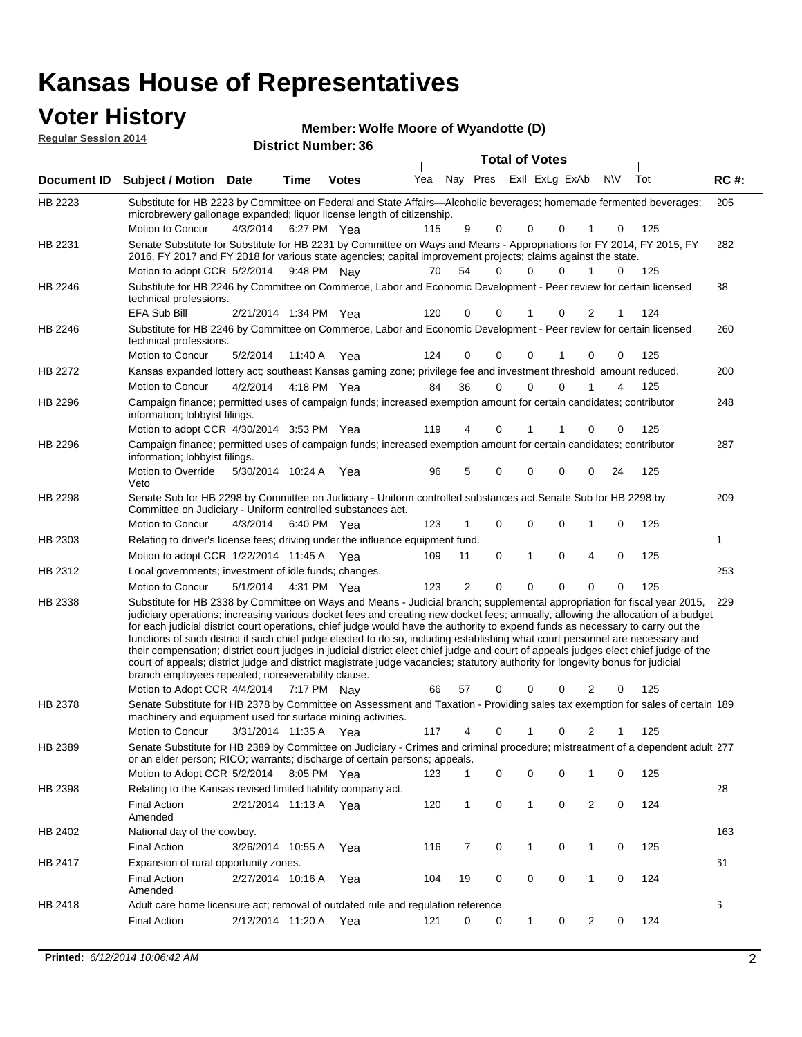| <b>Voter History</b><br><b>Regular Session 2014</b> |                                                                                                                                                                                                                                                                                                                                                                                                                                                                                                                                                                                                                                                                                                                                                                                                                                                                     |                       |      | Member: Wolfe Moore of Wyandotte (D) |     |       |                |                       |              |                             |   |           |               |             |
|-----------------------------------------------------|---------------------------------------------------------------------------------------------------------------------------------------------------------------------------------------------------------------------------------------------------------------------------------------------------------------------------------------------------------------------------------------------------------------------------------------------------------------------------------------------------------------------------------------------------------------------------------------------------------------------------------------------------------------------------------------------------------------------------------------------------------------------------------------------------------------------------------------------------------------------|-----------------------|------|--------------------------------------|-----|-------|----------------|-----------------------|--------------|-----------------------------|---|-----------|---------------|-------------|
|                                                     |                                                                                                                                                                                                                                                                                                                                                                                                                                                                                                                                                                                                                                                                                                                                                                                                                                                                     |                       |      | <b>District Number: 36</b>           |     |       |                |                       |              |                             |   |           |               |             |
|                                                     |                                                                                                                                                                                                                                                                                                                                                                                                                                                                                                                                                                                                                                                                                                                                                                                                                                                                     |                       |      |                                      |     |       |                | <b>Total of Votes</b> |              |                             |   |           |               |             |
| Document ID                                         | <b>Subject / Motion Date</b>                                                                                                                                                                                                                                                                                                                                                                                                                                                                                                                                                                                                                                                                                                                                                                                                                                        |                       | Time | <b>Votes</b>                         | Yea |       | Nay Pres       |                       |              | Exll ExLg ExAb              |   | <b>NV</b> | Tot           | <b>RC#:</b> |
| HB 2223                                             | Substitute for HB 2223 by Committee on Federal and State Affairs—Alcoholic beverages; homemade fermented beverages;<br>microbrewery gallonage expanded; liquor license length of citizenship.                                                                                                                                                                                                                                                                                                                                                                                                                                                                                                                                                                                                                                                                       |                       |      |                                      |     |       |                |                       |              |                             |   |           |               | 205         |
|                                                     | Motion to Concur                                                                                                                                                                                                                                                                                                                                                                                                                                                                                                                                                                                                                                                                                                                                                                                                                                                    | 4/3/2014              |      | 6:27 PM Yea                          | 115 |       | 9              | 0                     | 0            | $\mathbf 0$                 | 1 | 0         | 125           |             |
| HB 2231                                             | Senate Substitute for Substitute for HB 2231 by Committee on Ways and Means - Appropriations for FY 2014, FY 2015, FY<br>2016, FY 2017 and FY 2018 for various state agencies; capital improvement projects; claims against the state.                                                                                                                                                                                                                                                                                                                                                                                                                                                                                                                                                                                                                              |                       |      |                                      |     |       |                |                       |              |                             |   |           |               | 282         |
| HB 2246                                             | Motion to adopt CCR 5/2/2014 9:48 PM Nay<br>Substitute for HB 2246 by Committee on Commerce, Labor and Economic Development - Peer review for certain licensed                                                                                                                                                                                                                                                                                                                                                                                                                                                                                                                                                                                                                                                                                                      |                       |      |                                      | 70  | 54    |                | 0                     | $\Omega$     | $\Omega$                    | 1 | 0         | 125           | 38          |
|                                                     | technical professions.<br><b>EFA Sub Bill</b>                                                                                                                                                                                                                                                                                                                                                                                                                                                                                                                                                                                                                                                                                                                                                                                                                       | 2/21/2014 1:34 PM Yea |      |                                      | 120 |       | 0              | 0                     | 1            | 0                           | 2 | 1         | 124           |             |
| HB 2246                                             | Substitute for HB 2246 by Committee on Commerce, Labor and Economic Development - Peer review for certain licensed<br>technical professions.                                                                                                                                                                                                                                                                                                                                                                                                                                                                                                                                                                                                                                                                                                                        |                       |      |                                      |     |       |                |                       |              |                             |   |           |               | 260         |
|                                                     | Motion to Concur                                                                                                                                                                                                                                                                                                                                                                                                                                                                                                                                                                                                                                                                                                                                                                                                                                                    | 5/2/2014              |      | 11:40 A Yea                          | 124 |       | 0              | 0                     | 0            |                             | 0 | 0         | 125           |             |
| HB 2272                                             | Kansas expanded lottery act; southeast Kansas gaming zone; privilege fee and investment threshold amount reduced.                                                                                                                                                                                                                                                                                                                                                                                                                                                                                                                                                                                                                                                                                                                                                   |                       |      |                                      |     |       |                |                       |              |                             |   |           |               | 200         |
|                                                     | Motion to Concur                                                                                                                                                                                                                                                                                                                                                                                                                                                                                                                                                                                                                                                                                                                                                                                                                                                    | 4/2/2014              |      | 4:18 PM Yea                          | 84  | 36    |                | $\mathbf 0$           | 0            | 0                           | 1 | 4         | 125           |             |
| HB 2296                                             | Campaign finance; permitted uses of campaign funds; increased exemption amount for certain candidates; contributor<br>information; lobbyist filings.                                                                                                                                                                                                                                                                                                                                                                                                                                                                                                                                                                                                                                                                                                                |                       |      |                                      |     |       |                |                       |              |                             |   |           |               | 248         |
|                                                     | Motion to adopt CCR 4/30/2014 3:53 PM Yea                                                                                                                                                                                                                                                                                                                                                                                                                                                                                                                                                                                                                                                                                                                                                                                                                           |                       |      |                                      | 119 |       | 4              | 0                     | 1            |                             | 0 | 0         | 125           |             |
| HB 2296                                             | Campaign finance; permitted uses of campaign funds; increased exemption amount for certain candidates; contributor<br>information; lobbyist filings.                                                                                                                                                                                                                                                                                                                                                                                                                                                                                                                                                                                                                                                                                                                |                       |      |                                      |     |       |                |                       |              |                             |   |           |               | 287         |
|                                                     | Motion to Override<br>Veto                                                                                                                                                                                                                                                                                                                                                                                                                                                                                                                                                                                                                                                                                                                                                                                                                                          | 5/30/2014 10:24 A Yea |      |                                      | 96  |       | 5              | 0                     | 0            | 0                           | 0 | 24        | 125           |             |
| HB 2298                                             | Senate Sub for HB 2298 by Committee on Judiciary - Uniform controlled substances act. Senate Sub for HB 2298 by<br>Committee on Judiciary - Uniform controlled substances act.                                                                                                                                                                                                                                                                                                                                                                                                                                                                                                                                                                                                                                                                                      |                       |      |                                      |     |       |                |                       |              |                             |   |           |               | 209         |
|                                                     | Motion to Concur                                                                                                                                                                                                                                                                                                                                                                                                                                                                                                                                                                                                                                                                                                                                                                                                                                                    | 4/3/2014              |      | 6:40 PM Yea                          | 123 |       | 1              | 0                     | 0            | 0                           | 1 | 0         | 125           |             |
| HB 2303                                             | Relating to driver's license fees; driving under the influence equipment fund.                                                                                                                                                                                                                                                                                                                                                                                                                                                                                                                                                                                                                                                                                                                                                                                      |                       |      |                                      |     |       |                |                       |              |                             |   |           |               | 1           |
|                                                     | Motion to adopt CCR $1/22/2014$ 11:45 A Yea                                                                                                                                                                                                                                                                                                                                                                                                                                                                                                                                                                                                                                                                                                                                                                                                                         |                       |      |                                      | 109 | 11    |                | 0                     | $\mathbf{1}$ | 0                           | 4 | 0         | 125           |             |
| HB 2312                                             | Local governments; investment of idle funds; changes.                                                                                                                                                                                                                                                                                                                                                                                                                                                                                                                                                                                                                                                                                                                                                                                                               |                       |      |                                      |     |       |                |                       |              |                             |   |           |               | 253         |
|                                                     | Motion to Concur                                                                                                                                                                                                                                                                                                                                                                                                                                                                                                                                                                                                                                                                                                                                                                                                                                                    | 5/1/2014              |      | 4:31 PM Yea                          | 123 |       | $\overline{2}$ | 0                     | 0            | $\mathbf 0$                 | 0 | 0         | 125           |             |
| HB 2338                                             | Substitute for HB 2338 by Committee on Ways and Means - Judicial branch; supplemental appropriation for fiscal year 2015,<br>judiciary operations; increasing various docket fees and creating new docket fees; annually, allowing the allocation of a budget<br>for each judicial district court operations, chief judge would have the authority to expend funds as necessary to carry out the<br>functions of such district if such chief judge elected to do so, including establishing what court personnel are necessary and<br>their compensation; district court judges in judicial district elect chief judge and court of appeals judges elect chief judge of the<br>court of appeals; district judge and district magistrate judge vacancies; statutory authority for longevity bonus for judicial<br>branch employees repealed; nonseverability clause. |                       |      |                                      |     |       |                |                       |              |                             |   |           |               | 229         |
|                                                     | Motion to Adopt CCR 4/4/2014 7:17 PM Nay                                                                                                                                                                                                                                                                                                                                                                                                                                                                                                                                                                                                                                                                                                                                                                                                                            |                       |      |                                      |     | 66 57 |                |                       |              | $0 \quad 0 \quad 0 \quad 2$ |   |           | $0 \quad 125$ |             |
| HB 2378                                             | Senate Substitute for HB 2378 by Committee on Assessment and Taxation - Providing sales tax exemption for sales of certain 189<br>machinery and equipment used for surface mining activities.<br>Motion to Concur                                                                                                                                                                                                                                                                                                                                                                                                                                                                                                                                                                                                                                                   | 3/31/2014 11:35 A Yea |      |                                      | 117 |       | 4              | 0                     | 1            | 0                           | 2 | 1         | 125           |             |
|                                                     |                                                                                                                                                                                                                                                                                                                                                                                                                                                                                                                                                                                                                                                                                                                                                                                                                                                                     |                       |      |                                      |     |       |                |                       |              |                             |   |           |               |             |
| HB 2389                                             | Senate Substitute for HB 2389 by Committee on Judiciary - Crimes and criminal procedure; mistreatment of a dependent adult 277<br>or an elder person; RICO; warrants; discharge of certain persons; appeals.<br>Motion to Adopt CCR 5/2/2014                                                                                                                                                                                                                                                                                                                                                                                                                                                                                                                                                                                                                        |                       |      | 8:05 PM Yea                          | 123 |       | 1              | 0                     | 0            | 0                           | 1 | 0         | 125           |             |
| HB 2398                                             | Relating to the Kansas revised limited liability company act.                                                                                                                                                                                                                                                                                                                                                                                                                                                                                                                                                                                                                                                                                                                                                                                                       |                       |      |                                      |     |       |                |                       |              |                             |   |           |               | 28          |
|                                                     | <b>Final Action</b><br>Amended                                                                                                                                                                                                                                                                                                                                                                                                                                                                                                                                                                                                                                                                                                                                                                                                                                      | 2/21/2014 11:13 A Yea |      |                                      | 120 |       | 1              | 0                     | 1            | 0                           | 2 | 0         | 124           |             |
| HB 2402                                             | National day of the cowboy.                                                                                                                                                                                                                                                                                                                                                                                                                                                                                                                                                                                                                                                                                                                                                                                                                                         |                       |      |                                      |     |       |                |                       |              |                             |   |           |               | 163         |
|                                                     | <b>Final Action</b>                                                                                                                                                                                                                                                                                                                                                                                                                                                                                                                                                                                                                                                                                                                                                                                                                                                 | 3/26/2014 10:55 A     |      | Yea                                  | 116 |       | 7              | 0                     | 1            | 0                           | 1 | 0         | 125           |             |
| HB 2417                                             | Expansion of rural opportunity zones.                                                                                                                                                                                                                                                                                                                                                                                                                                                                                                                                                                                                                                                                                                                                                                                                                               |                       |      |                                      |     |       |                |                       |              |                             |   |           |               | 61          |
|                                                     | <b>Final Action</b><br>Amended                                                                                                                                                                                                                                                                                                                                                                                                                                                                                                                                                                                                                                                                                                                                                                                                                                      | 2/27/2014 10:16 A     |      | Yea                                  | 104 | 19    |                | 0                     | 0            | 0                           | 1 | 0         | 124           |             |

2/12/2014 Final Action Yea 124 11:20 A 121 0 0 0 20 1

Adult care home licensure act; removal of outdated rule and regulation reference.

HB 2418

6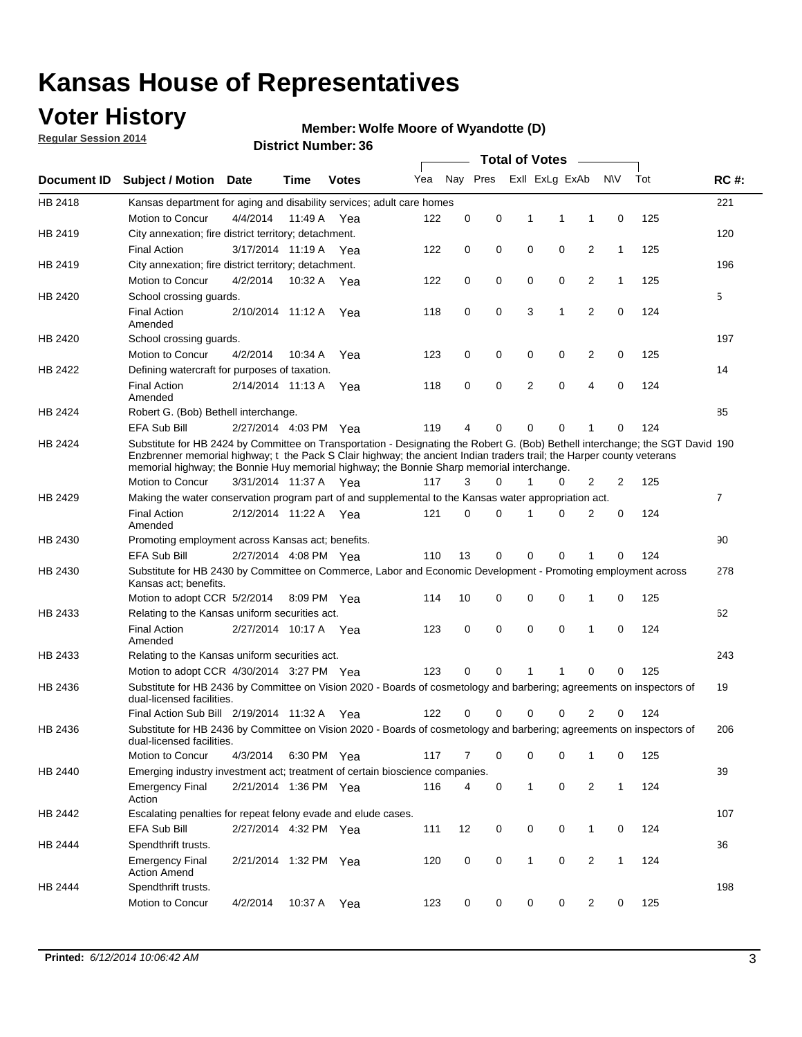### **Voter History**

**Regular Session 2014**

#### **Member: Wolfe Moore of Wyandotte (D)**

|             |                                                                                                                                                                                                                                                                                                                                                      |                       |             | <b>DISUILLINUIIIIDEI.JU</b> |     |             |          |             | <b>Total of Votes</b> |                |              |     |                |
|-------------|------------------------------------------------------------------------------------------------------------------------------------------------------------------------------------------------------------------------------------------------------------------------------------------------------------------------------------------------------|-----------------------|-------------|-----------------------------|-----|-------------|----------|-------------|-----------------------|----------------|--------------|-----|----------------|
| Document ID | <b>Subject / Motion Date</b>                                                                                                                                                                                                                                                                                                                         |                       | Time        | <b>Votes</b>                | Yea |             | Nay Pres |             | Exll ExLg ExAb        |                | <b>NV</b>    | Tot | <b>RC#:</b>    |
| HB 2418     | Kansas department for aging and disability services; adult care homes                                                                                                                                                                                                                                                                                |                       |             |                             |     |             |          |             |                       |                |              |     | 221            |
|             | Motion to Concur                                                                                                                                                                                                                                                                                                                                     | 4/4/2014              | 11:49 A     | Yea                         | 122 | 0           | 0        | 1           | 1                     | 1              | 0            | 125 |                |
| HB 2419     | City annexation; fire district territory; detachment.                                                                                                                                                                                                                                                                                                |                       |             |                             |     |             |          |             |                       |                |              |     | 120            |
|             | <b>Final Action</b>                                                                                                                                                                                                                                                                                                                                  | 3/17/2014 11:19 A     |             | Yea                         | 122 | 0           | 0        | $\mathbf 0$ | 0                     | 2              | $\mathbf{1}$ | 125 |                |
| HB 2419     | City annexation; fire district territory; detachment.                                                                                                                                                                                                                                                                                                |                       |             |                             |     |             |          |             |                       |                |              |     | 196            |
|             | Motion to Concur                                                                                                                                                                                                                                                                                                                                     | 4/2/2014              | 10:32 A     | Yea                         | 122 | 0           | 0        | $\mathbf 0$ | 0                     | 2              | $\mathbf{1}$ | 125 |                |
| HB 2420     | School crossing quards.                                                                                                                                                                                                                                                                                                                              |                       |             |                             |     |             |          |             |                       |                |              |     | 5              |
|             | <b>Final Action</b><br>Amended                                                                                                                                                                                                                                                                                                                       | 2/10/2014 11:12 A     |             | Yea                         | 118 | 0           | 0        | 3           | 1                     | 2              | 0            | 124 |                |
| HB 2420     | School crossing guards.                                                                                                                                                                                                                                                                                                                              |                       |             |                             |     |             |          |             |                       |                |              |     | 197            |
|             | Motion to Concur                                                                                                                                                                                                                                                                                                                                     | 4/2/2014              | 10:34 A     | Yea                         | 123 | 0           | 0        | 0           | 0                     | 2              | 0            | 125 |                |
| HB 2422     | Defining watercraft for purposes of taxation.                                                                                                                                                                                                                                                                                                        |                       |             |                             |     |             |          |             |                       |                |              |     | 14             |
|             | <b>Final Action</b><br>Amended                                                                                                                                                                                                                                                                                                                       | 2/14/2014 11:13 A     |             | Yea                         | 118 | 0           | 0        | 2           | $\mathbf 0$           | 4              | 0            | 124 |                |
| HB 2424     | Robert G. (Bob) Bethell interchange.                                                                                                                                                                                                                                                                                                                 |                       |             |                             |     |             |          |             |                       |                |              |     | 85             |
|             | <b>EFA Sub Bill</b>                                                                                                                                                                                                                                                                                                                                  | 2/27/2014 4:03 PM Yea |             |                             | 119 | 4           | 0        | 0           | $\mathbf 0$           | 1              | $\Omega$     | 124 |                |
| HB 2424     | Substitute for HB 2424 by Committee on Transportation - Designating the Robert G. (Bob) Bethell interchange; the SGT David 190<br>Enzbrenner memorial highway; t the Pack S Clair highway; the ancient Indian traders trail; the Harper county veterans<br>memorial highway; the Bonnie Huy memorial highway; the Bonnie Sharp memorial interchange. |                       |             |                             |     |             |          |             |                       |                |              |     |                |
|             | Motion to Concur                                                                                                                                                                                                                                                                                                                                     | 3/31/2014 11:37 A Yea |             |                             | 117 | 3           | 0        | 1           | 0                     | 2              | 2            | 125 |                |
| HB 2429     | Making the water conservation program part of and supplemental to the Kansas water appropriation act.                                                                                                                                                                                                                                                |                       |             |                             |     |             |          |             |                       |                |              |     | $\overline{7}$ |
|             | <b>Final Action</b><br>Amended                                                                                                                                                                                                                                                                                                                       | 2/12/2014 11:22 A     |             | Yea                         | 121 | $\mathbf 0$ | 0        | 1           | $\Omega$              | $\overline{2}$ | 0            | 124 |                |
| HB 2430     | Promoting employment across Kansas act; benefits.                                                                                                                                                                                                                                                                                                    |                       |             |                             |     |             |          |             |                       |                |              |     | 90             |
|             | EFA Sub Bill                                                                                                                                                                                                                                                                                                                                         | 2/27/2014 4:08 PM Yea |             |                             | 110 | 13          | 0        | 0           | 0                     | 1              | $\Omega$     | 124 |                |
| HB 2430     | Substitute for HB 2430 by Committee on Commerce, Labor and Economic Development - Promoting employment across<br>Kansas act; benefits.                                                                                                                                                                                                               |                       |             |                             |     |             |          |             |                       |                |              |     | 278            |
|             | Motion to adopt CCR 5/2/2014                                                                                                                                                                                                                                                                                                                         |                       | 8:09 PM Yea |                             | 114 | 10          | 0        | 0           | $\mathbf 0$           | 1              | 0            | 125 |                |
| HB 2433     | Relating to the Kansas uniform securities act.                                                                                                                                                                                                                                                                                                       |                       |             |                             |     |             |          |             |                       |                |              |     | 62             |
|             | <b>Final Action</b><br>Amended                                                                                                                                                                                                                                                                                                                       | 2/27/2014 10:17 A Yea |             |                             | 123 | 0           | 0        | $\mathbf 0$ | $\mathbf 0$           | 1              | 0            | 124 |                |
| HB 2433     | Relating to the Kansas uniform securities act.                                                                                                                                                                                                                                                                                                       |                       |             |                             |     |             |          |             |                       |                |              |     | 243            |
|             | Motion to adopt CCR 4/30/2014 3:27 PM Yea                                                                                                                                                                                                                                                                                                            |                       |             |                             | 123 | 0           | 0        | 1           | 1                     | 0              | 0            | 125 |                |
| HB 2436     | Substitute for HB 2436 by Committee on Vision 2020 - Boards of cosmetology and barbering; agreements on inspectors of<br>dual-licensed facilities.                                                                                                                                                                                                   |                       |             |                             |     |             |          |             |                       |                |              |     | 19             |
|             | Final Action Sub Bill 2/19/2014 11:32 A                                                                                                                                                                                                                                                                                                              |                       |             | Yea                         | 122 | 0           | 0        | 0           | $\Omega$              | 2              | 0            | 124 |                |
| HB 2436     | Substitute for HB 2436 by Committee on Vision 2020 - Boards of cosmetology and barbering; agreements on inspectors of<br>dual-licensed facilities.                                                                                                                                                                                                   |                       |             |                             |     |             |          |             |                       |                |              |     | 206            |
|             | Motion to Concur                                                                                                                                                                                                                                                                                                                                     | 4/3/2014              |             | 6:30 PM Yea                 | 117 | 7           | 0        | 0           | 0                     | 1              | 0            | 125 |                |
| HB 2440     | Emerging industry investment act; treatment of certain bioscience companies.                                                                                                                                                                                                                                                                         |                       |             |                             |     |             |          |             |                       |                |              |     | 39             |
|             | <b>Emergency Final</b><br>Action                                                                                                                                                                                                                                                                                                                     | 2/21/2014 1:36 PM Yea |             |                             | 116 | 4           | 0        | 1           | 0                     | 2              | $\mathbf{1}$ | 124 |                |
| HB 2442     | Escalating penalties for repeat felony evade and elude cases.                                                                                                                                                                                                                                                                                        |                       |             |                             |     |             |          |             |                       |                |              |     | 107            |
|             | EFA Sub Bill                                                                                                                                                                                                                                                                                                                                         | 2/27/2014 4:32 PM Yea |             |                             | 111 | 12          | 0        | 0           | 0                     | $\mathbf{1}$   | 0            | 124 |                |
| HB 2444     | Spendthrift trusts.                                                                                                                                                                                                                                                                                                                                  |                       |             |                             |     |             |          |             |                       |                |              |     | 36             |
|             | <b>Emergency Final</b><br><b>Action Amend</b>                                                                                                                                                                                                                                                                                                        | 2/21/2014 1:32 PM Yea |             |                             | 120 | 0           | 0        | 1           | 0                     | 2              | $\mathbf{1}$ | 124 |                |
| HB 2444     | Spendthrift trusts.                                                                                                                                                                                                                                                                                                                                  |                       |             |                             |     |             |          |             |                       |                |              |     | 198            |
|             | Motion to Concur                                                                                                                                                                                                                                                                                                                                     | 4/2/2014              | 10:37 A     | Yea                         | 123 | 0           | 0        | 0           | 0                     | $\overline{2}$ | 0            | 125 |                |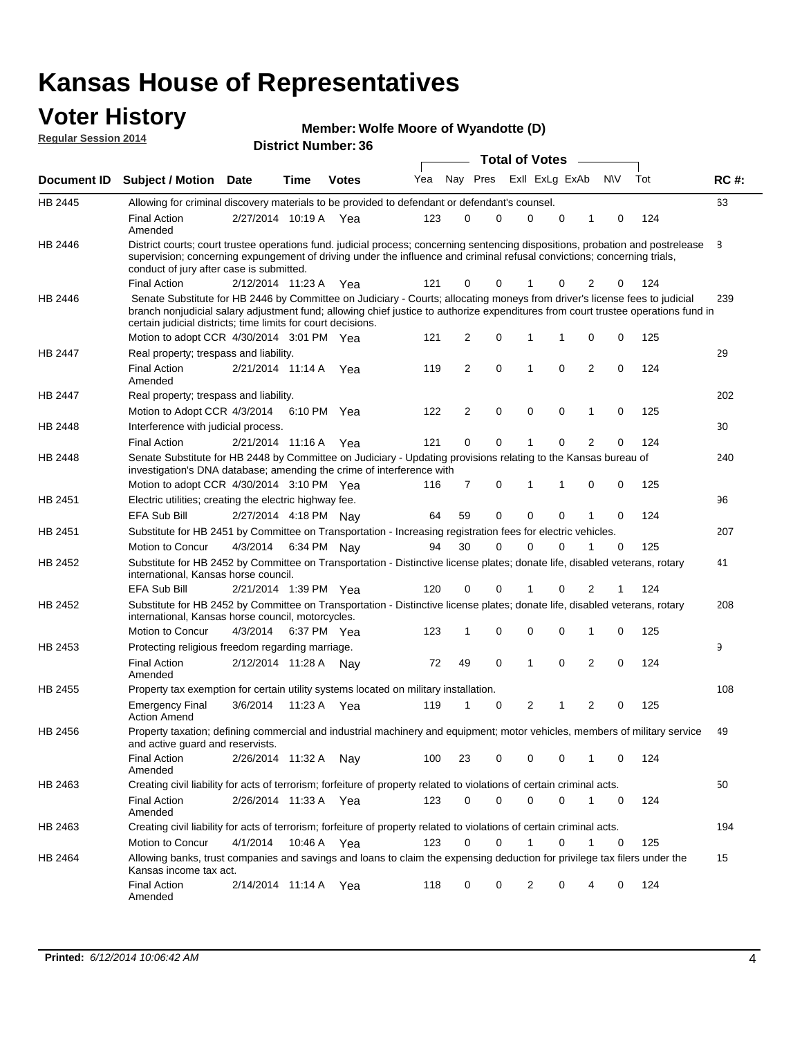#### **Voter History Regular Session 2014**

| Member: Wolfe Moore of Wyandotte (D) |  |  |  |
|--------------------------------------|--|--|--|
|--------------------------------------|--|--|--|

|         |                                                                                                                                                                                                                                                                                                                                 |                       |      |              |     |    |             | <b>Total of Votes</b> |                |             |                |             |     |             |
|---------|---------------------------------------------------------------------------------------------------------------------------------------------------------------------------------------------------------------------------------------------------------------------------------------------------------------------------------|-----------------------|------|--------------|-----|----|-------------|-----------------------|----------------|-------------|----------------|-------------|-----|-------------|
|         | Document ID Subject / Motion Date                                                                                                                                                                                                                                                                                               |                       | Time | <b>Votes</b> | Yea |    | Nay Pres    |                       | Exll ExLg ExAb |             |                | N\V         | Tot | <b>RC#:</b> |
| HB 2445 | Allowing for criminal discovery materials to be provided to defendant or defendant's counsel.                                                                                                                                                                                                                                   |                       |      |              |     |    |             |                       |                |             |                |             |     | 63          |
|         | <b>Final Action</b><br>Amended                                                                                                                                                                                                                                                                                                  | 2/27/2014 10:19 A Yea |      |              | 123 | 0  | 0           | $\mathbf 0$           |                | $\mathbf 0$ | 1              | 0           | 124 |             |
| HB 2446 | District courts; court trustee operations fund. judicial process; concerning sentencing dispositions, probation and postrelease<br>supervision; concerning expungement of driving under the influence and criminal refusal convictions; concerning trials,<br>conduct of jury after case is submitted.                          |                       |      |              |     |    |             |                       |                |             |                |             |     | 8           |
|         | <b>Final Action</b>                                                                                                                                                                                                                                                                                                             | 2/12/2014 11:23 A Yea |      |              | 121 | 0  | 0           |                       |                | 0           | 2              | 0           | 124 |             |
| HB 2446 | Senate Substitute for HB 2446 by Committee on Judiciary - Courts; allocating moneys from driver's license fees to judicial<br>branch nonjudicial salary adjustment fund; allowing chief justice to authorize expenditures from court trustee operations fund in<br>certain judicial districts; time limits for court decisions. |                       |      |              |     |    |             |                       |                |             |                |             |     | 239         |
|         | Motion to adopt CCR 4/30/2014 3:01 PM Yea                                                                                                                                                                                                                                                                                       |                       |      |              | 121 | 2  | 0           | 1                     |                | 1           | 0              | 0           | 125 |             |
| HB 2447 | Real property; trespass and liability.                                                                                                                                                                                                                                                                                          |                       |      |              |     |    |             |                       |                |             |                |             |     | 29          |
|         | <b>Final Action</b><br>Amended                                                                                                                                                                                                                                                                                                  | 2/21/2014 11:14 A Yea |      |              | 119 | 2  | $\mathbf 0$ | $\mathbf 1$           |                | $\mathbf 0$ | 2              | 0           | 124 |             |
| HB 2447 | Real property; trespass and liability.                                                                                                                                                                                                                                                                                          |                       |      |              |     |    |             |                       |                |             |                |             |     | 202         |
|         | Motion to Adopt CCR 4/3/2014                                                                                                                                                                                                                                                                                                    |                       |      | 6:10 PM Yea  | 122 | 2  | $\mathbf 0$ | $\mathbf 0$           |                | $\mathbf 0$ | 1              | 0           | 125 |             |
| HB 2448 | Interference with judicial process.                                                                                                                                                                                                                                                                                             |                       |      |              |     |    |             |                       |                |             |                |             |     | 30          |
|         | <b>Final Action</b>                                                                                                                                                                                                                                                                                                             | 2/21/2014 11:16 A Yea |      |              | 121 | 0  | 0           | $\mathbf 1$           |                | 0           | $\overline{2}$ | 0           | 124 |             |
| HB 2448 | Senate Substitute for HB 2448 by Committee on Judiciary - Updating provisions relating to the Kansas bureau of<br>investigation's DNA database; amending the crime of interference with                                                                                                                                         |                       |      |              |     |    |             |                       |                |             |                |             |     | 240         |
|         | Motion to adopt CCR 4/30/2014 3:10 PM Yea                                                                                                                                                                                                                                                                                       |                       |      |              | 116 | 7  | 0           | 1                     |                | 1           | 0              | 0           | 125 |             |
| HB 2451 | Electric utilities; creating the electric highway fee.                                                                                                                                                                                                                                                                          |                       |      |              |     |    |             |                       |                |             |                |             |     | 96          |
|         | <b>EFA Sub Bill</b>                                                                                                                                                                                                                                                                                                             | 2/27/2014 4:18 PM Nay |      |              | 64  | 59 | 0           | $\mathbf 0$           |                | 0           | 1              | 0           | 124 |             |
| HB 2451 | Substitute for HB 2451 by Committee on Transportation - Increasing registration fees for electric vehicles.                                                                                                                                                                                                                     |                       |      |              |     |    |             |                       |                |             |                |             |     | 207         |
|         | Motion to Concur                                                                                                                                                                                                                                                                                                                | 4/3/2014              |      | 6:34 PM Nay  | 94  | 30 | 0           | 0                     |                | 0           |                | 0           | 125 |             |
| HB 2452 | Substitute for HB 2452 by Committee on Transportation - Distinctive license plates; donate life, disabled veterans, rotary<br>international, Kansas horse council.                                                                                                                                                              |                       |      |              |     |    |             |                       |                |             |                |             |     | 41          |
|         | <b>EFA Sub Bill</b>                                                                                                                                                                                                                                                                                                             | 2/21/2014 1:39 PM Yea |      |              | 120 | 0  | 0           |                       |                | 0           | 2              | 1           | 124 |             |
| HB 2452 | Substitute for HB 2452 by Committee on Transportation - Distinctive license plates; donate life, disabled veterans, rotary<br>international, Kansas horse council, motorcycles.                                                                                                                                                 |                       |      |              |     |    |             |                       |                |             |                |             |     | 208         |
|         | Motion to Concur                                                                                                                                                                                                                                                                                                                | 4/3/2014              |      | 6:37 PM Yea  | 123 | 1  | $\mathbf 0$ | $\mathbf 0$           |                | 0           | 1              | 0           | 125 |             |
| HB 2453 | Protecting religious freedom regarding marriage.                                                                                                                                                                                                                                                                                |                       |      |              |     |    |             |                       |                |             |                |             |     | 9           |
|         | <b>Final Action</b><br>Amended                                                                                                                                                                                                                                                                                                  | 2/12/2014 11:28 A Nay |      |              | 72  | 49 | $\mathbf 0$ | $\overline{1}$        |                | $\Omega$    | 2              | 0           | 124 |             |
| HB 2455 | Property tax exemption for certain utility systems located on military installation.                                                                                                                                                                                                                                            |                       |      |              |     |    |             |                       |                |             |                |             |     | 108         |
|         | <b>Emergency Final</b><br><b>Action Amend</b>                                                                                                                                                                                                                                                                                   | 3/6/2014              |      | 11:23 A Yea  | 119 | 1  | 0           | $\overline{2}$        |                | 1           | 2              | 0           | 125 |             |
| HB 2456 | Property taxation; defining commercial and industrial machinery and equipment; motor vehicles, members of military service<br>and active guard and reservists.                                                                                                                                                                  |                       |      |              |     |    |             |                       |                |             |                |             |     | 49          |
|         | <b>Final Action</b><br>Amended                                                                                                                                                                                                                                                                                                  | 2/26/2014 11:32 A Nav |      |              | 100 | 23 | 0           | 0                     |                | 0           | 1              | 0           | 124 |             |
| HB 2463 | Creating civil liability for acts of terrorism; forfeiture of property related to violations of certain criminal acts.                                                                                                                                                                                                          |                       |      |              |     |    |             |                       |                |             |                |             |     | 50          |
|         | <b>Final Action</b><br>Amended                                                                                                                                                                                                                                                                                                  | 2/26/2014 11:33 A Yea |      |              | 123 | 0  | $\mathbf 0$ | $\mathbf 0$           |                | $\mathbf 0$ | $\mathbf{1}$   | $\mathbf 0$ | 124 |             |
| HB 2463 | Creating civil liability for acts of terrorism; forfeiture of property related to violations of certain criminal acts.                                                                                                                                                                                                          |                       |      |              |     |    |             |                       |                |             |                |             |     | 194         |
|         | Motion to Concur                                                                                                                                                                                                                                                                                                                | 4/1/2014              |      | 10:46 A Yea  | 123 | 0  | $\mathbf 0$ | 1                     |                | 0           | 1              | 0           | 125 |             |
| HB 2464 | Allowing banks, trust companies and savings and loans to claim the expensing deduction for privilege tax filers under the<br>Kansas income tax act.                                                                                                                                                                             |                       |      |              |     |    |             |                       |                |             |                |             |     | 15          |
|         | <b>Final Action</b><br>Amended                                                                                                                                                                                                                                                                                                  | 2/14/2014 11:14 A Yea |      |              | 118 | 0  | 0           | 2                     |                | 0           | 4              | 0           | 124 |             |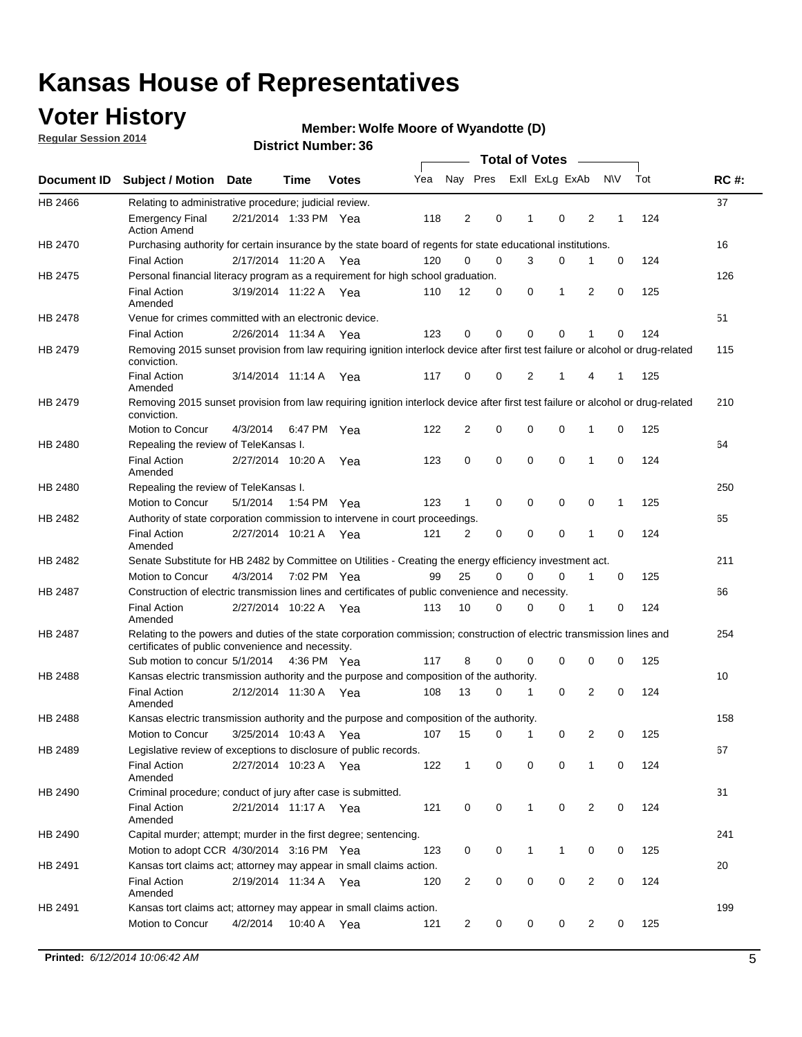### **Voter History**

**Regular Session 2014**

#### **Member: Wolfe Moore of Wyandotte (D)**

|                |                                                                                                                                                                             |                       |                   |              |     |                |          | <b>Total of Votes</b> |             |                |             |     |             |
|----------------|-----------------------------------------------------------------------------------------------------------------------------------------------------------------------------|-----------------------|-------------------|--------------|-----|----------------|----------|-----------------------|-------------|----------------|-------------|-----|-------------|
|                | Document ID Subject / Motion                                                                                                                                                | Date                  | Time              | <b>Votes</b> | Yea | Nay Pres       |          | Exll ExLg ExAb        |             |                | <b>NV</b>   | Tot | <b>RC#:</b> |
| HB 2466        | Relating to administrative procedure; judicial review.                                                                                                                      |                       |                   |              |     |                |          |                       |             |                |             |     | 37          |
|                | <b>Emergency Final</b><br><b>Action Amend</b>                                                                                                                               | 2/21/2014 1:33 PM Yea |                   |              | 118 | $\overline{2}$ | 0        | 1                     | $\mathbf 0$ | 2              | 1           | 124 |             |
| <b>HB 2470</b> | Purchasing authority for certain insurance by the state board of regents for state educational institutions.                                                                |                       |                   |              |     |                |          |                       |             |                |             |     | 16          |
|                | <b>Final Action</b>                                                                                                                                                         | 2/17/2014 11:20 A Yea |                   |              | 120 | 0              | 0        | 3                     | 0           | 1              | $\mathbf 0$ | 124 |             |
| HB 2475        | Personal financial literacy program as a requirement for high school graduation.                                                                                            |                       |                   |              |     |                |          |                       |             |                |             |     | 126         |
|                | <b>Final Action</b><br>Amended                                                                                                                                              | 3/19/2014 11:22 A Yea |                   |              | 110 | 12             | 0        | 0                     | 1           | 2              | 0           | 125 |             |
| HB 2478        | Venue for crimes committed with an electronic device.                                                                                                                       |                       |                   |              |     |                |          |                       |             |                |             |     | 51          |
|                | <b>Final Action</b>                                                                                                                                                         | 2/26/2014 11:34 A     |                   | Yea          | 123 | 0              | 0        | $\Omega$              | $\mathbf 0$ | 1              | 0           | 124 |             |
| HB 2479        | Removing 2015 sunset provision from law requiring ignition interlock device after first test failure or alcohol or drug-related<br>conviction.                              |                       |                   |              |     |                |          |                       |             |                |             |     | 115         |
|                | <b>Final Action</b><br>Amended                                                                                                                                              | 3/14/2014 11:14 A     |                   | Yea          | 117 | 0              | 0        | $\overline{2}$        | 1           | 4              | 1           | 125 |             |
| HB 2479        | Removing 2015 sunset provision from law requiring ignition interlock device after first test failure or alcohol or drug-related<br>conviction.                              |                       |                   |              |     |                |          |                       |             |                |             |     | 210         |
|                | Motion to Concur                                                                                                                                                            | 4/3/2014              |                   | 6:47 PM Yea  | 122 | $\overline{2}$ | 0        | $\mathbf 0$           | 0           | 1              | 0           | 125 |             |
| HB 2480        | Repealing the review of TeleKansas I.                                                                                                                                       |                       |                   |              |     |                |          |                       |             |                |             |     | 64          |
|                | <b>Final Action</b><br>Amended                                                                                                                                              | 2/27/2014 10:20 A     |                   | Yea          | 123 | 0              | 0        | $\mathbf 0$           | $\mathbf 0$ | 1              | 0           | 124 |             |
| HB 2480        | Repealing the review of TeleKansas I.                                                                                                                                       |                       |                   |              |     |                |          |                       |             |                |             |     | 250         |
|                | <b>Motion to Concur</b>                                                                                                                                                     | 5/1/2014              |                   | 1:54 PM Yea  | 123 | 1              | 0        | 0                     | 0           | 0              | 1           | 125 |             |
| HB 2482        | Authority of state corporation commission to intervene in court proceedings.                                                                                                |                       |                   |              |     |                |          |                       |             |                |             |     | 65          |
|                | <b>Final Action</b><br>Amended                                                                                                                                              | 2/27/2014 10:21 A     |                   | Yea          | 121 | 2              | 0        | 0                     | 0           | 1              | 0           | 124 |             |
| HB 2482        | Senate Substitute for HB 2482 by Committee on Utilities - Creating the energy efficiency investment act.                                                                    |                       |                   |              |     |                |          |                       |             |                |             |     | 211         |
|                | Motion to Concur                                                                                                                                                            | 4/3/2014 7:02 PM Yea  |                   |              | 99  | 25             | $\Omega$ | $\Omega$              | $\mathbf 0$ | 1              | 0           | 125 |             |
| HB 2487        | Construction of electric transmission lines and certificates of public convenience and necessity.                                                                           |                       |                   |              |     |                |          |                       |             |                |             |     | 66          |
|                | <b>Final Action</b><br>Amended                                                                                                                                              | 2/27/2014 10:22 A     |                   | Yea          | 113 | 10             | 0        | 0                     | 0           | 1              | 0           | 124 |             |
| HB 2487        | Relating to the powers and duties of the state corporation commission; construction of electric transmission lines and<br>certificates of public convenience and necessity. |                       |                   |              |     |                |          |                       |             |                |             |     | 254         |
|                | Sub motion to concur 5/1/2014                                                                                                                                               |                       |                   | 4:36 PM Yea  | 117 | 8              | 0        | 0                     | 0           | 0              | 0           | 125 |             |
| HB 2488        | Kansas electric transmission authority and the purpose and composition of the authority.                                                                                    |                       |                   |              |     |                |          |                       |             |                |             |     | 10          |
|                | <b>Final Action</b><br>Amended                                                                                                                                              | 2/12/2014 11:30 A     |                   | Yea          | 108 | 13             | 0        | 1                     | 0           | 2              | 0           | 124 |             |
| <b>HB 2488</b> | Kansas electric transmission authority and the purpose and composition of the authority.                                                                                    |                       |                   |              |     |                |          |                       |             |                |             |     | 158         |
|                | Motion to Concur                                                                                                                                                            |                       | 3/25/2014 10:43 A | Yea          | 107 | 15             | 0        | $\mathbf{1}$          | 0           | 2              | 0           | 125 |             |
| HB 2489        | Legislative review of exceptions to disclosure of public records.                                                                                                           |                       |                   |              |     |                |          |                       |             |                |             |     | 67          |
|                | <b>Final Action</b><br>Amended                                                                                                                                              | 2/27/2014 10:23 A Yea |                   |              | 122 | $\mathbf{1}$   | 0        | 0                     | 0           | 1              | 0           | 124 |             |
| HB 2490        | Criminal procedure; conduct of jury after case is submitted.                                                                                                                |                       |                   |              |     |                |          |                       |             |                |             |     | 31          |
|                | <b>Final Action</b><br>Amended                                                                                                                                              | 2/21/2014 11:17 A Yea |                   |              | 121 | 0              | 0        | $\mathbf{1}$          | 0           | 2              | $\mathbf 0$ | 124 |             |
| HB 2490        | Capital murder; attempt; murder in the first degree; sentencing.                                                                                                            |                       |                   |              |     |                |          |                       |             |                |             |     | 241         |
|                | Motion to adopt CCR 4/30/2014 3:16 PM Yea                                                                                                                                   |                       |                   |              | 123 | 0              | 0        | 1                     | 1           | 0              | 0           | 125 |             |
| HB 2491        | Kansas tort claims act; attorney may appear in small claims action.                                                                                                         |                       |                   |              |     |                |          |                       |             |                |             |     | 20          |
|                | <b>Final Action</b><br>Amended                                                                                                                                              | 2/19/2014 11:34 A Yea |                   |              | 120 | 2              | 0        | 0                     | 0           | $\overline{2}$ | 0           | 124 |             |
| HB 2491        | Kansas tort claims act; attorney may appear in small claims action.                                                                                                         |                       |                   |              |     |                |          |                       |             |                |             |     | 199         |
|                | Motion to Concur                                                                                                                                                            | 4/2/2014              |                   | 10:40 A Yea  | 121 | 2              | 0        | 0                     | 0           | $\overline{2}$ | 0           | 125 |             |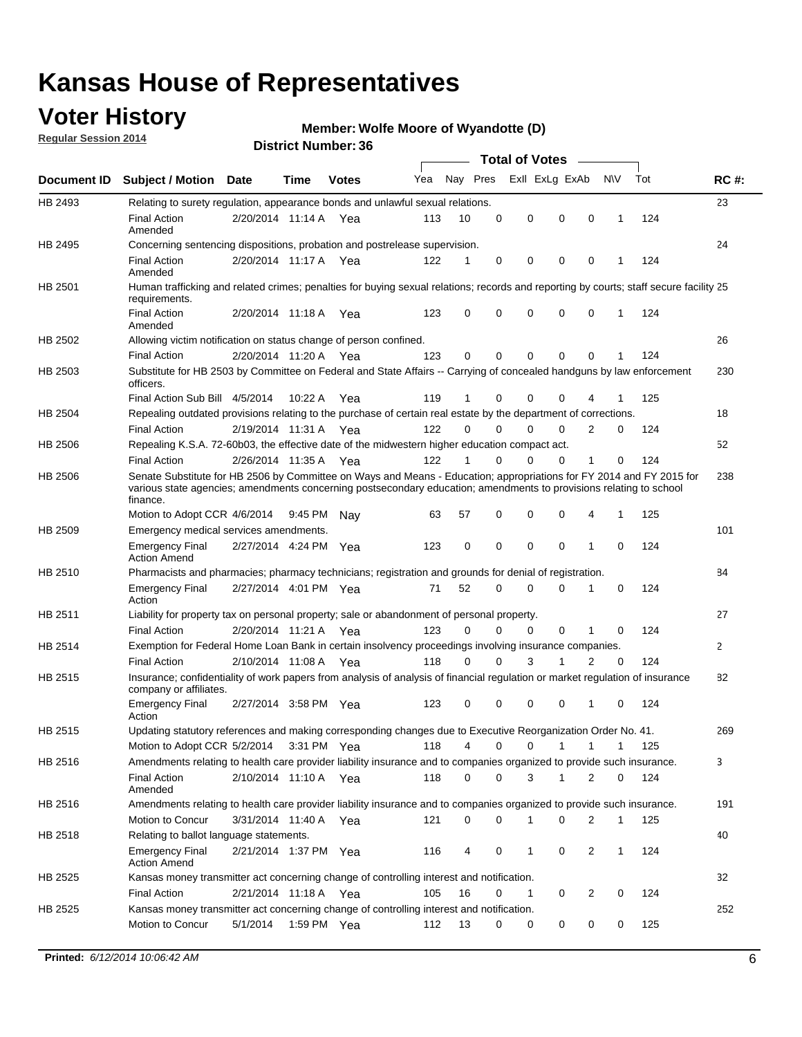### **Voter History**

**Regular Session 2014**

#### **Member: Wolfe Moore of Wyandotte (D)**

|                    |                                                                                                                                                                                                                                                        |                       |         |              |     |          |          | <b>Total of Votes</b> |              |              |              |     |              |
|--------------------|--------------------------------------------------------------------------------------------------------------------------------------------------------------------------------------------------------------------------------------------------------|-----------------------|---------|--------------|-----|----------|----------|-----------------------|--------------|--------------|--------------|-----|--------------|
| <b>Document ID</b> | <b>Subject / Motion Date</b>                                                                                                                                                                                                                           |                       | Time    | <b>Votes</b> | Yea | Nay Pres |          | Exll ExLg ExAb        |              |              | N\V          | Tot | <b>RC#:</b>  |
| HB 2493            | Relating to surety regulation, appearance bonds and unlawful sexual relations.                                                                                                                                                                         |                       |         |              |     |          |          |                       |              |              |              |     | 23           |
|                    | <b>Final Action</b><br>Amended                                                                                                                                                                                                                         | 2/20/2014 11:14 A     |         | Yea          | 113 | 10       | 0        | 0                     | $\mathbf 0$  | 0            | 1            | 124 |              |
| HB 2495            | Concerning sentencing dispositions, probation and postrelease supervision.                                                                                                                                                                             |                       |         |              |     |          |          |                       |              |              |              |     | 24           |
|                    | Final Action<br>Amended                                                                                                                                                                                                                                | 2/20/2014 11:17 A Yea |         |              | 122 |          | 0        | $\mathbf 0$           | $\mathbf 0$  | 0            |              | 124 |              |
| HB 2501            | Human trafficking and related crimes; penalties for buying sexual relations; records and reporting by courts; staff secure facility 25<br>requirements.                                                                                                |                       |         |              |     |          |          |                       |              |              |              |     |              |
|                    | <b>Final Action</b><br>Amended                                                                                                                                                                                                                         | 2/20/2014 11:18 A Yea |         |              | 123 | 0        | 0        | $\mathbf 0$           | $\Omega$     | 0            | 1            | 124 |              |
| HB 2502            | Allowing victim notification on status change of person confined.                                                                                                                                                                                      |                       |         |              |     |          |          |                       |              |              |              |     | 26           |
|                    | <b>Final Action</b>                                                                                                                                                                                                                                    | 2/20/2014 11:20 A Yea |         |              | 123 | 0        | 0        | $\mathbf 0$           | $\mathbf 0$  | $\Omega$     |              | 124 |              |
| HB 2503            | Substitute for HB 2503 by Committee on Federal and State Affairs -- Carrying of concealed handguns by law enforcement<br>officers.                                                                                                                     |                       |         |              |     |          |          |                       |              |              |              |     | 230          |
|                    | Final Action Sub Bill 4/5/2014                                                                                                                                                                                                                         |                       | 10:22 A | Yea          | 119 |          | 0        | $\Omega$              | $\Omega$     | 4            |              | 125 |              |
| HB 2504            | Repealing outdated provisions relating to the purchase of certain real estate by the department of corrections.                                                                                                                                        |                       |         |              |     |          |          |                       |              |              |              |     | 18           |
|                    | <b>Final Action</b>                                                                                                                                                                                                                                    | 2/19/2014 11:31 A Yea |         |              | 122 | $\Omega$ | $\Omega$ | $\Omega$              | $\Omega$     | 2            | 0            | 124 |              |
| HB 2506            | Repealing K.S.A. 72-60b03, the effective date of the midwestern higher education compact act.                                                                                                                                                          |                       |         |              |     |          |          |                       |              |              |              |     | 52           |
|                    | <b>Final Action</b>                                                                                                                                                                                                                                    | 2/26/2014 11:35 A Yea |         |              | 122 |          | $\Omega$ | $\Omega$              | $\Omega$     | 1            | 0            | 124 |              |
| HB 2506            | Senate Substitute for HB 2506 by Committee on Ways and Means - Education; appropriations for FY 2014 and FY 2015 for<br>various state agencies; amendments concerning postsecondary education; amendments to provisions relating to school<br>finance. |                       |         |              |     |          |          |                       |              |              |              |     | 238          |
|                    | Motion to Adopt CCR 4/6/2014                                                                                                                                                                                                                           |                       | 9:45 PM | Nav          | 63  | 57       | 0        | $\mathbf 0$           | 0            | 4            | 1            | 125 |              |
| HB 2509            | Emergency medical services amendments.                                                                                                                                                                                                                 |                       |         |              |     |          |          |                       |              |              |              |     | 101          |
|                    | <b>Emergency Final</b><br><b>Action Amend</b>                                                                                                                                                                                                          | 2/27/2014 4:24 PM Yea |         |              | 123 | 0        | 0        | $\mathbf 0$           | $\mathbf 0$  | $\mathbf{1}$ | 0            | 124 |              |
| HB 2510            | Pharmacists and pharmacies; pharmacy technicians; registration and grounds for denial of registration.                                                                                                                                                 |                       |         |              |     |          |          |                       |              |              |              |     | 84           |
|                    | <b>Emergency Final</b><br>Action                                                                                                                                                                                                                       | 2/27/2014 4:01 PM Yea |         |              | 71  | 52       | 0        | $\Omega$              | 0            | 1            | 0            | 124 |              |
| HB 2511            | Liability for property tax on personal property; sale or abandonment of personal property.                                                                                                                                                             |                       |         |              |     |          |          |                       |              |              |              |     | 27           |
|                    | <b>Final Action</b>                                                                                                                                                                                                                                    | 2/20/2014 11:21 A     |         | Yea          | 123 | 0        | $\Omega$ | $\mathbf 0$           | $\mathbf 0$  | 1            | 0            | 124 |              |
| HB 2514            | Exemption for Federal Home Loan Bank in certain insolvency proceedings involving insurance companies.                                                                                                                                                  |                       |         |              |     |          |          |                       |              |              |              |     | $\mathbf{2}$ |
|                    | <b>Final Action</b>                                                                                                                                                                                                                                    | 2/10/2014 11:08 A     |         | Yea          | 118 | 0        | $\Omega$ | 3                     | 1            | 2            | $\mathbf 0$  | 124 |              |
| HB 2515            | Insurance; confidentiality of work papers from analysis of analysis of financial regulation or market regulation of insurance<br>company or affiliates.                                                                                                |                       |         |              |     |          |          |                       |              |              |              |     | 82           |
|                    | <b>Emergency Final</b><br>Action                                                                                                                                                                                                                       | 2/27/2014 3:58 PM Yea |         |              | 123 | 0        | 0        | $\mathbf 0$           | 0            | $\mathbf 1$  | 0            | 124 |              |
| HB 2515            | Updating statutory references and making corresponding changes due to Executive Reorganization Order No. 41.                                                                                                                                           |                       |         |              |     |          |          |                       |              |              |              |     | 269          |
|                    | Motion to Adopt CCR 5/2/2014                                                                                                                                                                                                                           |                       |         | 3:31 PM Yea  | 118 | 4        | 0        | 0                     | $\mathbf{1}$ | $\mathbf{1}$ | 1            | 125 |              |
| HB 2516            | Amendments relating to health care provider liability insurance and to companies organized to provide such insurance.                                                                                                                                  |                       |         |              |     |          |          |                       |              |              |              |     | 3            |
|                    | <b>Final Action</b><br>Amended                                                                                                                                                                                                                         | 2/10/2014 11:10 A Yea |         |              | 118 | 0        | 0        | 3                     | 1            | 2            | 0            | 124 |              |
| HB 2516            | Amendments relating to health care provider liability insurance and to companies organized to provide such insurance.                                                                                                                                  |                       |         |              |     |          |          |                       |              |              |              |     | 191          |
|                    | Motion to Concur                                                                                                                                                                                                                                       | 3/31/2014 11:40 A Yea |         |              | 121 | 0        | 0        | 1                     | 0            | 2            | 1            | 125 |              |
| HB 2518            | Relating to ballot language statements.                                                                                                                                                                                                                |                       |         |              |     |          |          |                       |              |              |              |     | 40           |
|                    | <b>Emergency Final</b><br><b>Action Amend</b>                                                                                                                                                                                                          | 2/21/2014 1:37 PM Yea |         |              | 116 | 4        | 0        | 1                     | 0            | 2            | $\mathbf{1}$ | 124 |              |
| HB 2525            | Kansas money transmitter act concerning change of controlling interest and notification.                                                                                                                                                               |                       |         |              |     |          |          |                       |              |              |              |     | 32           |
|                    | <b>Final Action</b>                                                                                                                                                                                                                                    | 2/21/2014 11:18 A Yea |         |              | 105 | 16       | 0        | 1                     | 0            | 2            | 0            | 124 |              |
| HB 2525            | Kansas money transmitter act concerning change of controlling interest and notification.                                                                                                                                                               |                       |         |              |     |          |          |                       |              |              |              |     | 252          |
|                    | Motion to Concur                                                                                                                                                                                                                                       | 5/1/2014              |         | 1:59 PM Yea  | 112 | 13       | 0        | 0                     | 0            | 0            | 0            | 125 |              |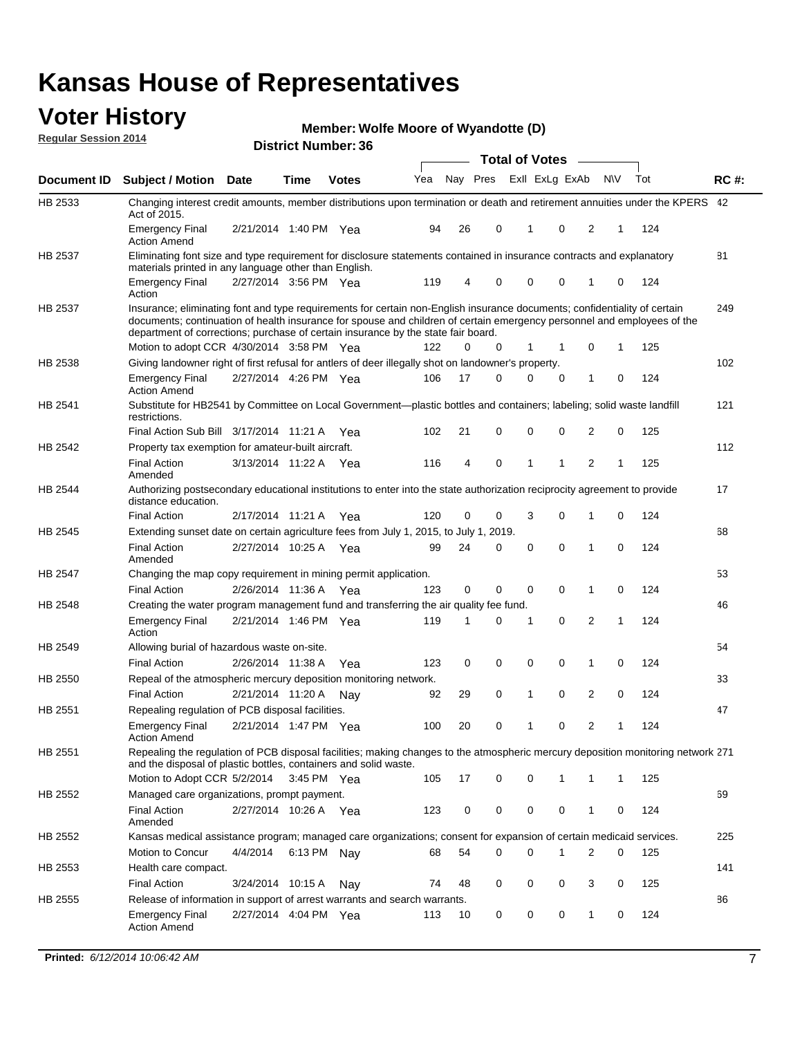#### **Voter History Regular Session 2014**

**Member: Wolfe Moore of Wyandotte (D)** 

|         |                                                                                                                                                                                                                                                                                                                                           |                       |      | DISTILICI MUITIDEL. 30 |     |    |          | <b>Total of Votes</b> | $\sim$         |                |             |     |             |
|---------|-------------------------------------------------------------------------------------------------------------------------------------------------------------------------------------------------------------------------------------------------------------------------------------------------------------------------------------------|-----------------------|------|------------------------|-----|----|----------|-----------------------|----------------|----------------|-------------|-----|-------------|
|         | Document ID Subject / Motion Date                                                                                                                                                                                                                                                                                                         |                       | Time | <b>Votes</b>           | Yea |    | Nay Pres |                       | Exll ExLg ExAb | <b>NV</b>      |             | Tot | <b>RC#:</b> |
| HB 2533 | Changing interest credit amounts, member distributions upon termination or death and retirement annuities under the KPERS 42<br>Act of 2015.                                                                                                                                                                                              |                       |      |                        |     |    |          |                       |                |                |             |     |             |
|         | <b>Emergency Final</b><br><b>Action Amend</b>                                                                                                                                                                                                                                                                                             | 2/21/2014 1:40 PM Yea |      |                        | 94  | 26 | 0        | 1                     | 0              | 2              | 1           | 124 |             |
| HB 2537 | Eliminating font size and type requirement for disclosure statements contained in insurance contracts and explanatory<br>materials printed in any language other than English.                                                                                                                                                            |                       |      |                        |     |    |          |                       |                |                |             |     | 81          |
|         | <b>Emergency Final</b><br>Action                                                                                                                                                                                                                                                                                                          | 2/27/2014 3:56 PM Yea |      |                        | 119 | 4  | 0        | 0                     | $\mathbf 0$    | 1              | $\mathbf 0$ | 124 |             |
| HB 2537 | Insurance; eliminating font and type requirements for certain non-English insurance documents; confidentiality of certain<br>documents; continuation of health insurance for spouse and children of certain emergency personnel and employees of the<br>department of corrections; purchase of certain insurance by the state fair board. |                       |      |                        |     |    |          |                       |                |                |             |     | 249         |
|         | Motion to adopt CCR 4/30/2014 3:58 PM Yea                                                                                                                                                                                                                                                                                                 |                       |      |                        | 122 | 0  | 0        | $\mathbf{1}$          | 1              | 0              | 1           | 125 |             |
| HB 2538 | Giving landowner right of first refusal for antlers of deer illegally shot on landowner's property.                                                                                                                                                                                                                                       |                       |      |                        |     |    |          |                       |                |                |             |     | 102         |
|         | <b>Emergency Final</b><br><b>Action Amend</b>                                                                                                                                                                                                                                                                                             | 2/27/2014 4:26 PM Yea |      |                        | 106 | 17 | 0        | 0                     | 0              | $\mathbf{1}$   | 0           | 124 |             |
| HB 2541 | Substitute for HB2541 by Committee on Local Government—plastic bottles and containers; labeling; solid waste landfill<br>restrictions.                                                                                                                                                                                                    |                       |      |                        |     |    |          |                       |                |                |             |     | 121         |
|         | Final Action Sub Bill 3/17/2014 11:21 A Yea                                                                                                                                                                                                                                                                                               |                       |      |                        | 102 | 21 | 0        | 0                     | $\mathbf 0$    | 2              | 0           | 125 |             |
| HB 2542 | Property tax exemption for amateur-built aircraft.                                                                                                                                                                                                                                                                                        |                       |      |                        |     |    |          |                       |                |                |             |     | 112         |
|         | <b>Final Action</b><br>Amended                                                                                                                                                                                                                                                                                                            | 3/13/2014 11:22 A Yea |      |                        | 116 | 4  | 0        | 1                     | 1              | $\overline{2}$ | 1           | 125 |             |
| HB 2544 | Authorizing postsecondary educational institutions to enter into the state authorization reciprocity agreement to provide<br>distance education.                                                                                                                                                                                          |                       |      |                        |     |    |          |                       |                |                |             |     | 17          |
|         | <b>Final Action</b>                                                                                                                                                                                                                                                                                                                       | 2/17/2014 11:21 A Yea |      |                        | 120 | 0  | 0        | 3                     | 0              | 1              | $\mathbf 0$ | 124 |             |
| HB 2545 | Extending sunset date on certain agriculture fees from July 1, 2015, to July 1, 2019.                                                                                                                                                                                                                                                     |                       |      |                        |     |    |          |                       |                |                |             |     | 68          |
|         | <b>Final Action</b><br>Amended                                                                                                                                                                                                                                                                                                            | 2/27/2014 10:25 A Yea |      |                        | 99  | 24 | 0        | 0                     | $\Omega$       | 1              | $\Omega$    | 124 |             |
| HB 2547 | Changing the map copy requirement in mining permit application.                                                                                                                                                                                                                                                                           |                       |      |                        |     |    |          |                       |                |                |             |     | 53          |
|         | <b>Final Action</b>                                                                                                                                                                                                                                                                                                                       | 2/26/2014 11:36 A     |      | Yea                    | 123 | 0  | 0        | 0                     | 0              | $\mathbf{1}$   | 0           | 124 |             |
| HB 2548 | Creating the water program management fund and transferring the air quality fee fund.                                                                                                                                                                                                                                                     |                       |      |                        |     |    |          |                       |                |                |             |     | 46          |
|         | <b>Emergency Final</b><br>Action                                                                                                                                                                                                                                                                                                          | 2/21/2014 1:46 PM Yea |      |                        | 119 | 1  | 0        | 1                     | 0              | 2              | 1           | 124 |             |
| HB 2549 | Allowing burial of hazardous waste on-site.                                                                                                                                                                                                                                                                                               |                       |      |                        |     |    |          |                       |                |                |             |     | 54          |
|         | <b>Final Action</b>                                                                                                                                                                                                                                                                                                                       | 2/26/2014 11:38 A Yea |      |                        | 123 | 0  | 0        | 0                     | $\mathbf 0$    | 1              | 0           | 124 |             |
| HB 2550 | Repeal of the atmospheric mercury deposition monitoring network.                                                                                                                                                                                                                                                                          |                       |      |                        |     |    |          |                       |                |                |             |     | 33          |
|         | <b>Final Action</b>                                                                                                                                                                                                                                                                                                                       | 2/21/2014 11:20 A     |      | Nav                    | 92  | 29 | 0        | 1                     | $\mathbf 0$    | $\overline{2}$ | $\mathbf 0$ | 124 |             |
| HB 2551 | Repealing regulation of PCB disposal facilities.                                                                                                                                                                                                                                                                                          |                       |      |                        |     |    |          |                       |                |                |             |     | 47          |
|         | <b>Emergency Final</b><br><b>Action Amend</b>                                                                                                                                                                                                                                                                                             | 2/21/2014 1:47 PM Yea |      |                        | 100 | 20 | 0        | 1                     | 0              | 2              | 1           | 124 |             |
| HB 2551 | Repealing the regulation of PCB disposal facilities; making changes to the atmospheric mercury deposition monitoring network 271<br>and the disposal of plastic bottles, containers and solid waste.                                                                                                                                      |                       |      |                        |     |    |          |                       |                |                |             |     |             |
|         | Motion to Adopt CCR 5/2/2014 3:45 PM Yea                                                                                                                                                                                                                                                                                                  |                       |      |                        | 105 | 17 | 0        | 0                     | 1              | 1              | 1           | 125 |             |
| HB 2552 | Managed care organizations, prompt payment.                                                                                                                                                                                                                                                                                               |                       |      |                        |     |    |          |                       |                |                |             |     | 69          |
|         | <b>Final Action</b><br>Amended                                                                                                                                                                                                                                                                                                            | 2/27/2014 10:26 A Yea |      |                        | 123 | 0  | 0        | 0                     | 0              | 1              | 0           | 124 |             |
| HB 2552 | Kansas medical assistance program; managed care organizations; consent for expansion of certain medicaid services.                                                                                                                                                                                                                        |                       |      |                        |     |    |          |                       |                |                |             |     | 225         |
|         | Motion to Concur                                                                                                                                                                                                                                                                                                                          | 4/4/2014              |      | 6:13 PM Nay            | 68  | 54 | 0        | 0                     | 1              | 2              | $\mathbf 0$ | 125 |             |
| HB 2553 | Health care compact.                                                                                                                                                                                                                                                                                                                      |                       |      |                        |     |    |          |                       |                |                |             |     | 141         |
|         | <b>Final Action</b>                                                                                                                                                                                                                                                                                                                       | 3/24/2014 10:15 A     |      | Nay                    | 74  | 48 | 0        | 0                     | 0              | 3              | 0           | 125 |             |
| HB 2555 | Release of information in support of arrest warrants and search warrants.                                                                                                                                                                                                                                                                 |                       |      |                        |     |    |          |                       |                |                |             |     | 86          |
|         | Emergency Final<br><b>Action Amend</b>                                                                                                                                                                                                                                                                                                    | 2/27/2014 4:04 PM Yea |      |                        | 113 | 10 | 0        | 0                     | 0              | $\mathbf{1}$   | 0           | 124 |             |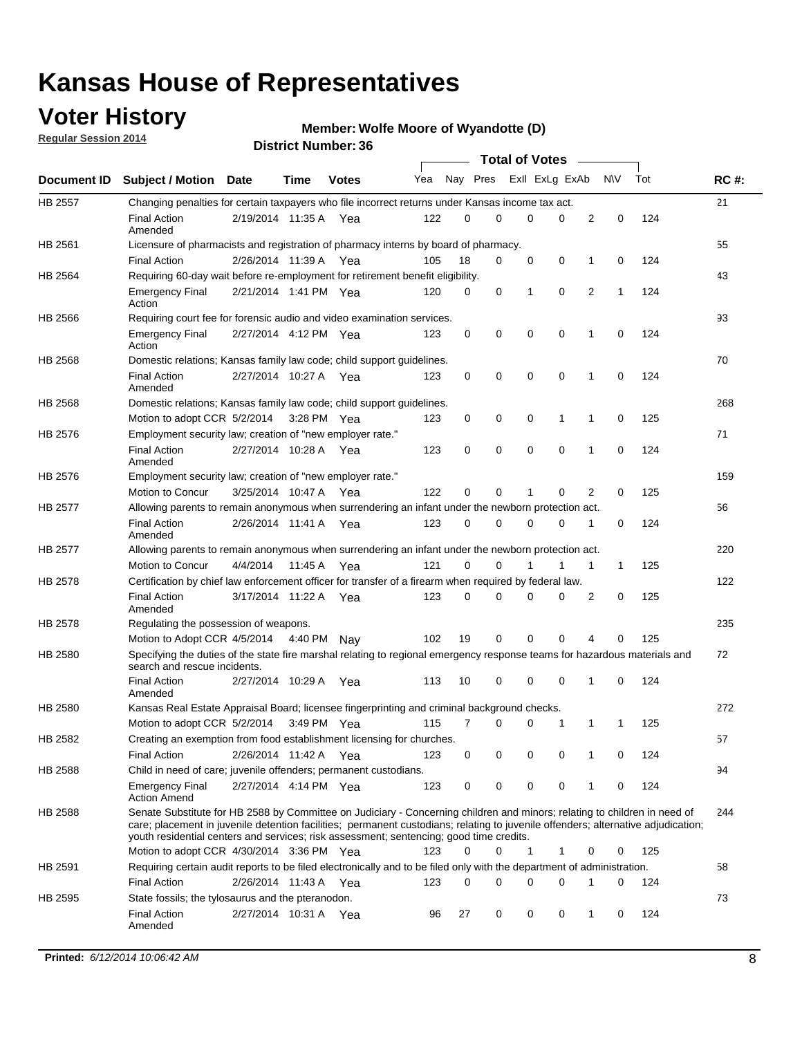### **Voter History**

**Regular Session 2014**

#### **Member: Wolfe Moore of Wyandotte (D)**

|         |                                                                                                                                                                                                                                                                                                                                                           |                       |         |              |     |          |   | <b>Total of Votes</b> |          |   |             |     |             |
|---------|-----------------------------------------------------------------------------------------------------------------------------------------------------------------------------------------------------------------------------------------------------------------------------------------------------------------------------------------------------------|-----------------------|---------|--------------|-----|----------|---|-----------------------|----------|---|-------------|-----|-------------|
|         | Document ID Subject / Motion                                                                                                                                                                                                                                                                                                                              | Date                  | Time    | <b>Votes</b> | Yea | Nay Pres |   | Exll ExLg ExAb        |          |   | <b>NV</b>   | Tot | <b>RC#:</b> |
| HB 2557 | Changing penalties for certain taxpayers who file incorrect returns under Kansas income tax act.                                                                                                                                                                                                                                                          |                       |         |              |     |          |   |                       |          |   |             |     | 21          |
|         | <b>Final Action</b><br>Amended                                                                                                                                                                                                                                                                                                                            | 2/19/2014 11:35 A     |         | Yea          | 122 | 0        | 0 | 0                     | 0        | 2 | 0           | 124 |             |
| HB 2561 | Licensure of pharmacists and registration of pharmacy interns by board of pharmacy.                                                                                                                                                                                                                                                                       |                       |         |              |     |          |   |                       |          |   |             |     | 55          |
|         | <b>Final Action</b>                                                                                                                                                                                                                                                                                                                                       | 2/26/2014 11:39 A Yea |         |              | 105 | 18       | 0 | 0                     | 0        | 1 | 0           | 124 |             |
| HB 2564 | Requiring 60-day wait before re-employment for retirement benefit eligibility.                                                                                                                                                                                                                                                                            |                       |         |              |     |          |   |                       |          |   |             |     | 43          |
|         | <b>Emergency Final</b><br>Action                                                                                                                                                                                                                                                                                                                          | 2/21/2014 1:41 PM Yea |         |              | 120 | 0        | 0 | 1                     | 0        | 2 | 1           | 124 |             |
| HB 2566 | Requiring court fee for forensic audio and video examination services.                                                                                                                                                                                                                                                                                    |                       |         |              |     |          |   |                       |          |   |             |     | 93          |
|         | <b>Emergency Final</b><br>Action                                                                                                                                                                                                                                                                                                                          | 2/27/2014 4:12 PM Yea |         |              | 123 | 0        | 0 | 0                     | 0        | 1 | $\mathbf 0$ | 124 |             |
| HB 2568 | Domestic relations; Kansas family law code; child support guidelines.                                                                                                                                                                                                                                                                                     |                       |         |              |     |          |   |                       |          |   |             |     | 70          |
|         | <b>Final Action</b><br>Amended                                                                                                                                                                                                                                                                                                                            | 2/27/2014 10:27 A     |         | Yea          | 123 | 0        | 0 | 0                     | 0        | 1 | 0           | 124 |             |
| HB 2568 | Domestic relations; Kansas family law code; child support guidelines.                                                                                                                                                                                                                                                                                     |                       |         |              |     |          |   |                       |          |   |             |     | 268         |
|         | Motion to adopt CCR 5/2/2014 3:28 PM Yea                                                                                                                                                                                                                                                                                                                  |                       |         |              | 123 | 0        | 0 | 0                     | 1        | 1 | $\mathbf 0$ | 125 |             |
| HB 2576 | Employment security law; creation of "new employer rate."                                                                                                                                                                                                                                                                                                 |                       |         |              |     |          |   |                       |          |   |             |     | 71          |
|         | <b>Final Action</b><br>Amended                                                                                                                                                                                                                                                                                                                            | 2/27/2014 10:28 A     |         | Yea          | 123 | 0        | 0 | 0                     | 0        | 1 | $\mathbf 0$ | 124 |             |
| HB 2576 | Employment security law; creation of "new employer rate."                                                                                                                                                                                                                                                                                                 |                       |         |              |     |          |   |                       |          |   |             |     | 159         |
|         | Motion to Concur                                                                                                                                                                                                                                                                                                                                          | 3/25/2014 10:47 A     |         | Yea          | 122 | 0        | 0 | 1                     | 0        | 2 | 0           | 125 |             |
| HB 2577 | Allowing parents to remain anonymous when surrendering an infant under the newborn protection act.                                                                                                                                                                                                                                                        |                       |         |              |     |          |   |                       |          |   |             |     | 56          |
|         | <b>Final Action</b><br>Amended                                                                                                                                                                                                                                                                                                                            | 2/26/2014 11:41 A Yea |         |              | 123 | $\Omega$ | 0 | 0                     | 0        | 1 | 0           | 124 |             |
| HB 2577 | Allowing parents to remain anonymous when surrendering an infant under the newborn protection act.                                                                                                                                                                                                                                                        |                       |         |              |     |          |   |                       |          |   |             |     | 220         |
|         | Motion to Concur                                                                                                                                                                                                                                                                                                                                          | 4/4/2014              | 11:45 A | Yea          | 121 | 0        | 0 |                       | 1        | 1 | 1           | 125 |             |
| HB 2578 | Certification by chief law enforcement officer for transfer of a firearm when required by federal law.                                                                                                                                                                                                                                                    |                       |         |              |     |          |   |                       |          |   |             |     | 122         |
|         | <b>Final Action</b><br>Amended                                                                                                                                                                                                                                                                                                                            | 3/17/2014 11:22 A     |         | Yea          | 123 | $\Omega$ | 0 | 0                     | 0        | 2 | 0           | 125 |             |
| HB 2578 | Regulating the possession of weapons.                                                                                                                                                                                                                                                                                                                     |                       |         |              |     |          |   |                       |          |   |             |     | 235         |
|         | Motion to Adopt CCR 4/5/2014 4:40 PM Nay                                                                                                                                                                                                                                                                                                                  |                       |         |              | 102 | 19       | 0 | 0                     | $\Omega$ | 4 | 0           | 125 |             |
| HB 2580 | Specifying the duties of the state fire marshal relating to regional emergency response teams for hazardous materials and<br>search and rescue incidents.                                                                                                                                                                                                 |                       |         |              |     |          |   |                       |          |   |             |     | 72          |
|         | <b>Final Action</b><br>Amended                                                                                                                                                                                                                                                                                                                            | 2/27/2014 10:29 A     |         | Yea          | 113 | 10       | 0 | 0                     | 0        | 1 | 0           | 124 |             |
| HB 2580 | Kansas Real Estate Appraisal Board; licensee fingerprinting and criminal background checks.                                                                                                                                                                                                                                                               |                       |         |              |     |          |   |                       |          |   |             |     | 272         |
|         | Motion to adopt CCR 5/2/2014                                                                                                                                                                                                                                                                                                                              |                       |         | 3:49 PM Yea  | 115 | 7        | 0 | 0                     | 1        | 1 | 1           | 125 |             |
| HB 2582 | Creating an exemption from food establishment licensing for churches.                                                                                                                                                                                                                                                                                     |                       |         |              |     |          |   |                       |          |   |             |     | 57          |
|         | <b>Final Action</b>                                                                                                                                                                                                                                                                                                                                       | 2/26/2014 11:42 A Yea |         |              | 123 | 0        | 0 | 0                     | 0        | 1 | 0           | 124 |             |
| HB 2588 | Child in need of care; juvenile offenders; permanent custodians.                                                                                                                                                                                                                                                                                          |                       |         |              |     |          |   |                       |          |   |             |     | 94          |
|         | <b>Emergency Final</b><br><b>Action Amend</b>                                                                                                                                                                                                                                                                                                             | 2/27/2014 4:14 PM Yea |         |              | 123 | 0        | 0 | 0                     | 0        | 1 | 0           | 124 |             |
| HB 2588 | Senate Substitute for HB 2588 by Committee on Judiciary - Concerning children and minors; relating to children in need of<br>care; placement in juvenile detention facilities; permanent custodians; relating to juvenile offenders; alternative adjudication;<br>youth residential centers and services; risk assessment; sentencing; good time credits. |                       |         |              |     |          |   |                       |          |   |             |     | 244         |
|         | Motion to adopt CCR 4/30/2014 3:36 PM Yea                                                                                                                                                                                                                                                                                                                 |                       |         |              | 123 | 0        | 0 | 1                     | 1        | 0 | 0           | 125 |             |
| HB 2591 | Requiring certain audit reports to be filed electronically and to be filed only with the department of administration.                                                                                                                                                                                                                                    |                       |         |              |     |          |   |                       |          |   |             |     | 58          |
|         | <b>Final Action</b>                                                                                                                                                                                                                                                                                                                                       | 2/26/2014 11:43 A Yea |         |              | 123 | 0        | 0 | 0                     | 0        | 1 | 0           | 124 |             |
| HB 2595 | State fossils; the tylosaurus and the pteranodon.                                                                                                                                                                                                                                                                                                         |                       |         |              |     |          |   |                       |          |   |             |     | 73          |
|         | <b>Final Action</b><br>Amended                                                                                                                                                                                                                                                                                                                            | 2/27/2014 10:31 A Yea |         |              | 96  | 27       | 0 | 0                     | 0        | 1 | 0           | 124 |             |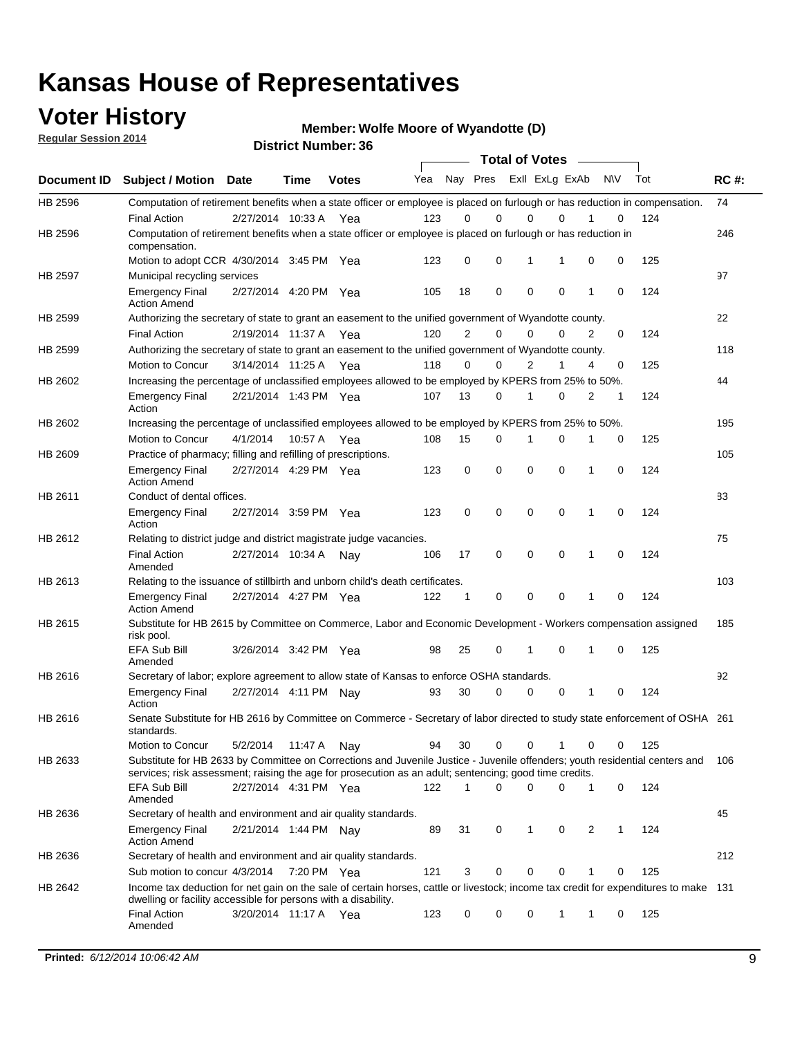### **Voter History**

**Regular Session 2014**

**Member: Wolfe Moore of Wyandotte (D)** 

|                |                                                                                                                                                                                                                                       |                       |             | <b>DISTRICT MAILINGL. 30</b> |     |                |             | <b>Total of Votes</b> |             |   |           |     |             |
|----------------|---------------------------------------------------------------------------------------------------------------------------------------------------------------------------------------------------------------------------------------|-----------------------|-------------|------------------------------|-----|----------------|-------------|-----------------------|-------------|---|-----------|-----|-------------|
| Document ID    | <b>Subject / Motion</b>                                                                                                                                                                                                               | <b>Date</b>           | Time        | <b>Votes</b>                 | Yea |                | Nay Pres    | Exll ExLg ExAb        |             |   | <b>NV</b> | Tot | <b>RC#:</b> |
| HB 2596        | Computation of retirement benefits when a state officer or employee is placed on furlough or has reduction in compensation.                                                                                                           |                       |             |                              |     |                |             |                       |             |   |           |     | 74          |
|                | <b>Final Action</b>                                                                                                                                                                                                                   | 2/27/2014 10:33 A     |             | Yea                          | 123 | 0              | $\Omega$    | 0                     | $\Omega$    |   | 0         | 124 |             |
| HB 2596        | Computation of retirement benefits when a state officer or employee is placed on furlough or has reduction in<br>compensation.                                                                                                        |                       |             |                              |     |                |             |                       |             |   |           |     | 246         |
|                | Motion to adopt CCR 4/30/2014 3:45 PM Yea                                                                                                                                                                                             |                       |             |                              | 123 | 0              | 0           | 1                     | 1           | 0 | 0         | 125 |             |
| <b>HB 2597</b> | Municipal recycling services                                                                                                                                                                                                          |                       |             |                              |     |                |             |                       |             |   |           |     | 97          |
|                | <b>Emergency Final</b><br><b>Action Amend</b>                                                                                                                                                                                         | 2/27/2014 4:20 PM Yea |             |                              | 105 | 18             | $\mathbf 0$ | $\mathbf 0$           | $\mathbf 0$ | 1 | 0         | 124 |             |
| HB 2599        | Authorizing the secretary of state to grant an easement to the unified government of Wyandotte county.                                                                                                                                |                       |             |                              |     |                |             |                       |             |   |           |     | 22          |
|                | <b>Final Action</b>                                                                                                                                                                                                                   | 2/19/2014 11:37 A     |             | Yea                          | 120 | $\overline{2}$ | $\mathbf 0$ | 0                     | $\Omega$    | 2 | 0         | 124 |             |
| HB 2599        | Authorizing the secretary of state to grant an easement to the unified government of Wyandotte county.                                                                                                                                |                       |             |                              |     |                |             |                       |             |   |           |     | 118         |
|                | Motion to Concur                                                                                                                                                                                                                      | 3/14/2014 11:25 A     |             | Yea                          | 118 | $\Omega$       | 0           | $\overline{2}$        | 1           | 4 | 0         | 125 |             |
| HB 2602        | Increasing the percentage of unclassified employees allowed to be employed by KPERS from 25% to 50%.                                                                                                                                  |                       |             |                              |     |                |             |                       |             |   |           |     | 44          |
|                | <b>Emergency Final</b><br>Action                                                                                                                                                                                                      | 2/21/2014 1:43 PM Yea |             |                              | 107 | 13             | 0           | 1                     | $\Omega$    | 2 | 1         | 124 |             |
| HB 2602        | Increasing the percentage of unclassified employees allowed to be employed by KPERS from 25% to 50%.                                                                                                                                  |                       |             |                              |     |                |             |                       |             |   |           |     | 195         |
|                | Motion to Concur                                                                                                                                                                                                                      | 4/1/2014              | 10:57 A Yea |                              | 108 | 15             | 0           | 1                     | 0           | 1 | 0         | 125 |             |
| HB 2609        | Practice of pharmacy; filling and refilling of prescriptions.                                                                                                                                                                         |                       |             |                              |     |                |             |                       |             |   |           |     | 105         |
|                | <b>Emergency Final</b><br><b>Action Amend</b>                                                                                                                                                                                         | 2/27/2014 4:29 PM Yea |             |                              | 123 | 0              | $\mathbf 0$ | $\mathbf 0$           | $\Omega$    | 1 | 0         | 124 |             |
| HB 2611        | Conduct of dental offices.                                                                                                                                                                                                            |                       |             |                              |     |                |             |                       |             |   |           |     | 83          |
|                | <b>Emergency Final</b><br>Action                                                                                                                                                                                                      | 2/27/2014 3:59 PM Yea |             |                              | 123 | 0              | $\mathbf 0$ | $\mathbf 0$           | $\mathbf 0$ | 1 | 0         | 124 |             |
| HB 2612        | Relating to district judge and district magistrate judge vacancies.                                                                                                                                                                   |                       |             |                              |     |                |             |                       |             |   |           |     | 75          |
|                | <b>Final Action</b><br>Amended                                                                                                                                                                                                        | 2/27/2014 10:34 A     |             | Nav                          | 106 | 17             | 0           | $\mathbf 0$           | $\mathbf 0$ | 1 | 0         | 124 |             |
| HB 2613        | Relating to the issuance of stillbirth and unborn child's death certificates.                                                                                                                                                         |                       |             |                              |     |                |             |                       |             |   |           |     | 103         |
|                | <b>Emergency Final</b><br><b>Action Amend</b>                                                                                                                                                                                         | 2/27/2014 4:27 PM Yea |             |                              | 122 | 1              | 0           | $\mathbf 0$           | $\Omega$    | 1 | 0         | 124 |             |
| HB 2615        | Substitute for HB 2615 by Committee on Commerce, Labor and Economic Development - Workers compensation assigned<br>risk pool.                                                                                                         |                       |             |                              |     |                |             |                       |             |   |           |     | 185         |
|                | EFA Sub Bill<br>Amended                                                                                                                                                                                                               | 3/26/2014 3:42 PM Yea |             |                              | 98  | 25             | 0           | 1                     | $\mathbf 0$ | 1 | 0         | 125 |             |
| HB 2616        | Secretary of labor; explore agreement to allow state of Kansas to enforce OSHA standards.                                                                                                                                             |                       |             |                              |     |                |             |                       |             |   |           |     | 92          |
|                | <b>Emergency Final</b><br>Action                                                                                                                                                                                                      | 2/27/2014 4:11 PM Nay |             |                              | 93  | 30             | 0           | 0                     | 0           | 1 | 0         | 124 |             |
| HB 2616        | Senate Substitute for HB 2616 by Committee on Commerce - Secretary of labor directed to study state enforcement of OSHA 261<br>standards.                                                                                             |                       |             |                              |     |                |             |                       |             |   |           |     |             |
|                | Motion to Concur                                                                                                                                                                                                                      | 5/2/2014              | 11:47 A Nay |                              | 94  | 30             | 0           | 0                     | 1           | 0 | 0         | 125 |             |
| HB 2633        | Substitute for HB 2633 by Committee on Corrections and Juvenile Justice - Juvenile offenders; youth residential centers and<br>services; risk assessment; raising the age for prosecution as an adult; sentencing; good time credits. |                       |             |                              |     |                |             |                       |             |   |           |     | 106         |
|                | EFA Sub Bill<br>Amended                                                                                                                                                                                                               | 2/27/2014 4:31 PM Yea |             |                              | 122 | 1              | 0           | $\Omega$              | 0           | 1 | 0         | 124 |             |
| HB 2636        | Secretary of health and environment and air quality standards.                                                                                                                                                                        |                       |             |                              |     |                |             |                       |             |   |           |     | 45          |
|                | <b>Emergency Final</b><br><b>Action Amend</b>                                                                                                                                                                                         | 2/21/2014 1:44 PM Nav |             |                              | 89  | 31             | 0           | 1                     | 0           | 2 | 1         | 124 |             |
| HB 2636        | Secretary of health and environment and air quality standards.                                                                                                                                                                        |                       |             |                              |     |                |             |                       |             |   |           |     | 212         |
|                | Sub motion to concur 4/3/2014                                                                                                                                                                                                         |                       | 7:20 PM Yea |                              | 121 | 3              | 0           | 0                     | 0           |   | 0         | 125 |             |
| HB 2642        | Income tax deduction for net gain on the sale of certain horses, cattle or livestock; income tax credit for expenditures to make 131                                                                                                  |                       |             |                              |     |                |             |                       |             |   |           |     |             |
|                | dwelling or facility accessible for persons with a disability.<br><b>Final Action</b>                                                                                                                                                 | 3/20/2014 11:17 A Yea |             |                              | 123 | 0              | 0           | 0                     | 1           | 1 | 0         | 125 |             |
|                | Amended                                                                                                                                                                                                                               |                       |             |                              |     |                |             |                       |             |   |           |     |             |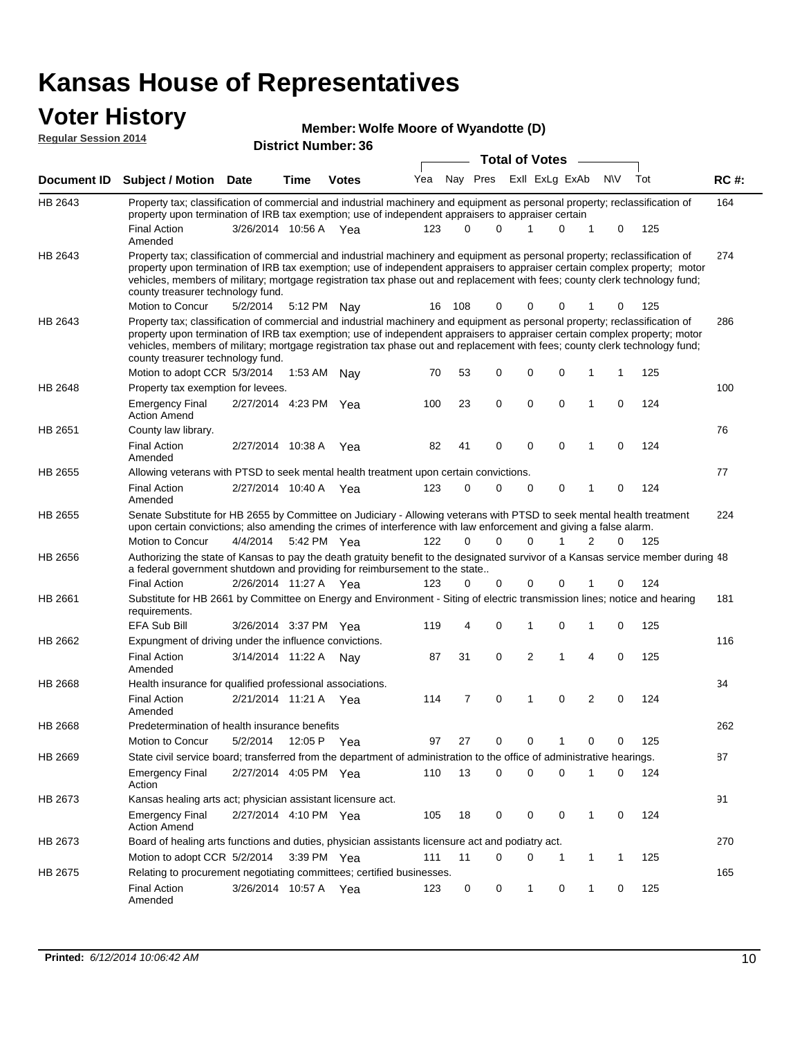# **Voter History**<br> **Regular Session 2014**

| <b>VULGE LIBLUI Y</b><br><b>Regular Session 2014</b> |                                                                                                                                                                                                                                                                                                                                                                                                                               |                       |         | Member: Wolfe Moore of Wyandotte (D)<br><b>District Number: 36</b> |     |     |                      |                       |              |             |             |     |             |
|------------------------------------------------------|-------------------------------------------------------------------------------------------------------------------------------------------------------------------------------------------------------------------------------------------------------------------------------------------------------------------------------------------------------------------------------------------------------------------------------|-----------------------|---------|--------------------------------------------------------------------|-----|-----|----------------------|-----------------------|--------------|-------------|-------------|-----|-------------|
|                                                      |                                                                                                                                                                                                                                                                                                                                                                                                                               |                       |         |                                                                    |     |     |                      | <b>Total of Votes</b> |              |             |             |     |             |
|                                                      | Document ID Subject / Motion Date                                                                                                                                                                                                                                                                                                                                                                                             |                       | Time    | <b>Votes</b>                                                       | Yea |     | Nay Pres             | Exll ExLg ExAb        |              |             | <b>NV</b>   | Tot | <b>RC#:</b> |
| HB 2643                                              | Property tax; classification of commercial and industrial machinery and equipment as personal property; reclassification of                                                                                                                                                                                                                                                                                                   |                       |         |                                                                    |     |     |                      |                       |              |             |             |     | 164         |
|                                                      | property upon termination of IRB tax exemption; use of independent appraisers to appraiser certain<br><b>Final Action</b><br>Amended                                                                                                                                                                                                                                                                                          | 3/26/2014 10:56 A Yea |         |                                                                    | 123 |     | $\Omega$<br>$\Omega$ | 1                     | 0            | 1           | 0           | 125 |             |
| HB 2643                                              | Property tax; classification of commercial and industrial machinery and equipment as personal property; reclassification of<br>property upon termination of IRB tax exemption; use of independent appraisers to appraiser certain complex property; motor<br>vehicles, members of military; mortgage registration tax phase out and replacement with fees; county clerk technology fund;<br>county treasurer technology fund. |                       |         |                                                                    |     |     |                      |                       |              |             |             |     | 274         |
| HB 2643                                              | Motion to Concur<br>Property tax; classification of commercial and industrial machinery and equipment as personal property; reclassification of                                                                                                                                                                                                                                                                               | 5/2/2014              |         | 5:12 PM Nay                                                        | 16  | 108 | 0                    | 0                     | 0            |             | 0           | 125 | 286         |
|                                                      | property upon termination of IRB tax exemption; use of independent appraisers to appraiser certain complex property; motor<br>vehicles, members of military; mortgage registration tax phase out and replacement with fees; county clerk technology fund;<br>county treasurer technology fund.<br>Motion to adopt CCR 5/3/2014                                                                                                |                       | 1:53 AM | Nay                                                                | 70  | 53  | 0                    | 0                     | $\mathbf 0$  | 1           | 1           | 125 |             |
| HB 2648                                              | Property tax exemption for levees.                                                                                                                                                                                                                                                                                                                                                                                            |                       |         |                                                                    |     |     |                      |                       |              |             |             |     | 100         |
|                                                      | <b>Emergency Final</b><br><b>Action Amend</b>                                                                                                                                                                                                                                                                                                                                                                                 | 2/27/2014 4:23 PM Yea |         |                                                                    | 100 | 23  | 0                    | 0                     | 0            | 1           | $\mathbf 0$ | 124 |             |
| HB 2651                                              | County law library.                                                                                                                                                                                                                                                                                                                                                                                                           |                       |         |                                                                    |     |     |                      |                       |              |             |             |     | 76          |
|                                                      | <b>Final Action</b><br>Amended                                                                                                                                                                                                                                                                                                                                                                                                | 2/27/2014 10:38 A     |         | Yea                                                                | 82  | 41  | $\mathbf 0$          | 0                     | 0            | 1           | $\mathbf 0$ | 124 |             |
| HB 2655                                              | Allowing veterans with PTSD to seek mental health treatment upon certain convictions.                                                                                                                                                                                                                                                                                                                                         |                       |         |                                                                    |     |     |                      |                       |              |             |             |     | 77          |
|                                                      | <b>Final Action</b><br>Amended                                                                                                                                                                                                                                                                                                                                                                                                | 2/27/2014 10:40 A Yea |         |                                                                    | 123 |     | 0<br>$\Omega$        | 0                     | 0            | 1           | 0           | 124 |             |
| HB 2655                                              | Senate Substitute for HB 2655 by Committee on Judiciary - Allowing veterans with PTSD to seek mental health treatment<br>upon certain convictions; also amending the crimes of interference with law enforcement and giving a false alarm.                                                                                                                                                                                    |                       |         |                                                                    |     |     |                      |                       |              |             |             |     | 224         |
|                                                      | Motion to Concur                                                                                                                                                                                                                                                                                                                                                                                                              | 4/4/2014              |         | 5:42 PM Yea                                                        | 122 |     | $\Omega$<br>$\Omega$ | $\Omega$              | 1            | 2           | $\Omega$    | 125 |             |
| HB 2656                                              | Authorizing the state of Kansas to pay the death gratuity benefit to the designated survivor of a Kansas service member during 48<br>a federal government shutdown and providing for reimbursement to the state                                                                                                                                                                                                               |                       |         |                                                                    |     |     |                      |                       |              |             |             |     |             |
|                                                      | <b>Final Action</b>                                                                                                                                                                                                                                                                                                                                                                                                           | 2/26/2014 11:27 A Yea |         |                                                                    | 123 |     | 0<br>0               | 0                     | 0            |             | 0           | 124 |             |
| HB 2661                                              | Substitute for HB 2661 by Committee on Energy and Environment - Siting of electric transmission lines; notice and hearing<br>requirements.                                                                                                                                                                                                                                                                                    |                       |         |                                                                    |     |     |                      |                       |              |             |             |     | 181         |
|                                                      | <b>EFA Sub Bill</b>                                                                                                                                                                                                                                                                                                                                                                                                           | 3/26/2014 3:37 PM Yea |         |                                                                    | 119 |     | 4<br>0               | 1                     | 0            | 1           | 0           | 125 |             |
| HB 2662                                              | Expungment of driving under the influence convictions.<br><b>Final Action</b><br>Amended                                                                                                                                                                                                                                                                                                                                      | 3/14/2014 11:22 A     |         | Nav                                                                | 87  | 31  | 0                    | $\overline{2}$        | 1            | 4           | $\mathbf 0$ | 125 | 116         |
| HB 2668                                              | Health insurance for qualified professional associations.                                                                                                                                                                                                                                                                                                                                                                     |                       |         |                                                                    |     |     |                      |                       |              |             |             |     | 34          |
|                                                      | <b>Final Action</b><br>Amended                                                                                                                                                                                                                                                                                                                                                                                                | 2/21/2014 11:21 A Yea |         |                                                                    | 114 |     | 0<br>7               | 1                     | 0            | 2           | 0           | 124 |             |
| HB 2668                                              | Predetermination of health insurance benefits                                                                                                                                                                                                                                                                                                                                                                                 |                       |         |                                                                    |     |     |                      |                       |              |             |             |     | 262         |
|                                                      | Motion to Concur                                                                                                                                                                                                                                                                                                                                                                                                              | 5/2/2014              |         | 12:05 P Yea                                                        | 97  | 27  | 0                    | 0                     | 1            | 0           | 0           | 125 |             |
| HB 2669                                              | State civil service board; transferred from the department of administration to the office of administrative hearings.                                                                                                                                                                                                                                                                                                        |                       |         |                                                                    |     |     |                      |                       |              |             |             |     | 87          |
|                                                      | <b>Emergency Final</b><br>Action                                                                                                                                                                                                                                                                                                                                                                                              | 2/27/2014 4:05 PM Yea |         |                                                                    | 110 | 13  | 0                    | 0                     | 0            | 1           | 0           | 124 |             |
| HB 2673                                              | Kansas healing arts act; physician assistant licensure act.                                                                                                                                                                                                                                                                                                                                                                   |                       |         |                                                                    |     |     |                      |                       |              |             |             |     | 91          |
|                                                      | <b>Emergency Final</b><br><b>Action Amend</b>                                                                                                                                                                                                                                                                                                                                                                                 | 2/27/2014 4:10 PM Yea |         |                                                                    | 105 | 18  | 0                    | 0                     | 0            | 1           | 0           | 124 |             |
| HB 2673                                              | Board of healing arts functions and duties, physician assistants licensure act and podiatry act.                                                                                                                                                                                                                                                                                                                              |                       |         |                                                                    |     |     |                      |                       |              |             |             |     | 270         |
|                                                      | Motion to adopt CCR 5/2/2014                                                                                                                                                                                                                                                                                                                                                                                                  |                       |         | 3:39 PM Yea                                                        | 111 | 11  | 0                    | 0                     | $\mathbf{1}$ | $\mathbf 1$ | 1           | 125 |             |

Final Action 3/26/2014 10:57 A Yea 123 0 1 0 1 0 125

123 0 0 1 0 1 0

Relating to procurement negotiating committees; certified businesses.

Amended

HB 2675

165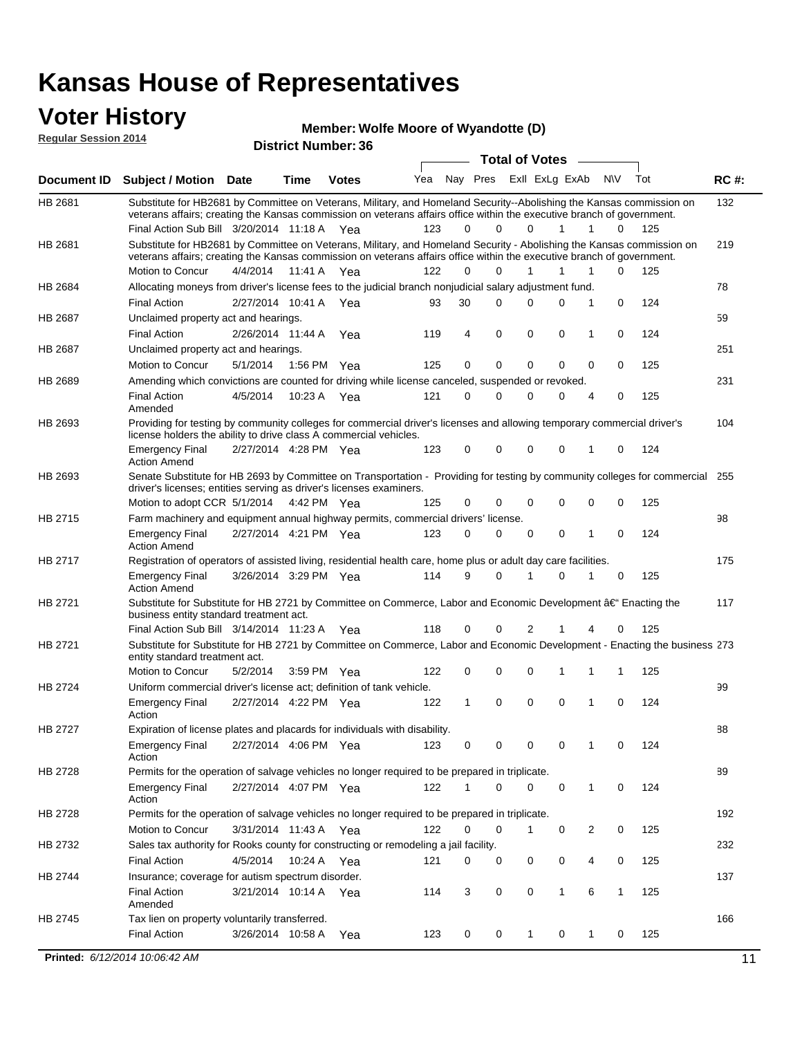### **Voter History**

#### **Member: Wolfe Moore of Wyandotte (D)**

| <b>Reqular Session 2014</b> |                                                                                                                                                                                                                                                                                               |                       |             | $m$ and $n$ and $n$ and $n$ and $n$ and $n$ and $n$ and $n$<br><b>District Number: 36</b> |     |              |                            |                       |                         |          |     |             |
|-----------------------------|-----------------------------------------------------------------------------------------------------------------------------------------------------------------------------------------------------------------------------------------------------------------------------------------------|-----------------------|-------------|-------------------------------------------------------------------------------------------|-----|--------------|----------------------------|-----------------------|-------------------------|----------|-----|-------------|
|                             |                                                                                                                                                                                                                                                                                               |                       |             |                                                                                           |     |              |                            | <b>Total of Votes</b> |                         |          |     |             |
| <b>Document ID</b>          | <b>Subject / Motion</b>                                                                                                                                                                                                                                                                       | <b>Date</b>           | <b>Time</b> | <b>Votes</b>                                                                              | Yea |              | Nay Pres                   | Exll ExLg ExAb        |                         | N\V      | Tot | <b>RC#:</b> |
| HB 2681                     | Substitute for HB2681 by Committee on Veterans, Military, and Homeland Security--Abolishing the Kansas commission on<br>veterans affairs; creating the Kansas commission on veterans affairs office within the executive branch of government.<br>Final Action Sub Bill 3/20/2014 11:18 A Yea |                       |             |                                                                                           | 123 |              | $\mathbf 0$<br>0           | 0<br>1                | $\mathbf{1}$            | 0        | 125 | 132         |
| HB 2681                     | Substitute for HB2681 by Committee on Veterans, Military, and Homeland Security - Abolishing the Kansas commission on<br>veterans affairs; creating the Kansas commission on veterans affairs office within the executive branch of government.<br>Motion to Concur                           | 4/4/2014              |             | 11:41 A Yea                                                                               | 122 |              | $\Omega$<br>$\Omega$       | 1<br>1                | 1                       | 0        | 125 | 219         |
| HB 2684                     | Allocating moneys from driver's license fees to the judicial branch nonjudicial salary adjustment fund.                                                                                                                                                                                       |                       |             |                                                                                           |     |              |                            |                       |                         |          |     | 78          |
|                             | <b>Final Action</b>                                                                                                                                                                                                                                                                           | 2/27/2014 10:41 A Yea |             |                                                                                           | 93  | 30           | $\Omega$                   | 0<br>$\Omega$         | 1                       | 0        | 124 |             |
| <b>HB 2687</b>              | Unclaimed property act and hearings.                                                                                                                                                                                                                                                          |                       |             |                                                                                           |     |              |                            |                       |                         |          |     | 59          |
|                             |                                                                                                                                                                                                                                                                                               | 2/26/2014 11:44 A     |             |                                                                                           | 119 | 4            | 0                          | 0<br>0                | 1                       | 0        | 124 |             |
| HB 2687                     | <b>Final Action</b><br>Unclaimed property act and hearings.                                                                                                                                                                                                                                   |                       |             | Yea                                                                                       |     |              |                            |                       |                         |          |     | 251         |
|                             | Motion to Concur                                                                                                                                                                                                                                                                              | 5/1/2014              |             | 1:56 PM Yea                                                                               | 125 |              | $\mathbf 0$<br>$\mathbf 0$ | $\mathbf 0$<br>0      | 0                       | 0        | 125 |             |
|                             |                                                                                                                                                                                                                                                                                               |                       |             |                                                                                           |     |              |                            |                       |                         |          |     |             |
| HB 2689                     | Amending which convictions are counted for driving while license canceled, suspended or revoked.<br><b>Final Action</b><br>Amended                                                                                                                                                            | 4/5/2014              |             | 10:23 A Yea                                                                               | 121 | $\Omega$     | $\Omega$                   | 0<br>0                | 4                       | 0        | 125 | 231         |
| HB 2693                     | Providing for testing by community colleges for commercial driver's licenses and allowing temporary commercial driver's<br>license holders the ability to drive class A commercial vehicles.                                                                                                  |                       |             |                                                                                           |     |              |                            |                       |                         |          |     | 104         |
|                             | <b>Emergency Final</b><br><b>Action Amend</b>                                                                                                                                                                                                                                                 | 2/27/2014 4:28 PM Yea |             |                                                                                           | 123 | $\mathbf 0$  | 0                          | $\mathbf 0$<br>0      | 1                       | 0        | 124 |             |
| HB 2693                     | Senate Substitute for HB 2693 by Committee on Transportation - Providing for testing by community colleges for commercial 255<br>driver's licenses; entities serving as driver's licenses examiners.                                                                                          |                       |             |                                                                                           |     |              |                            |                       |                         |          |     |             |
|                             | Motion to adopt CCR 5/1/2014 4:42 PM Yea                                                                                                                                                                                                                                                      |                       |             |                                                                                           | 125 | 0            | 0                          | 0<br>$\mathbf 0$      | $\mathbf 0$             | 0        | 125 |             |
| HB 2715                     | Farm machinery and equipment annual highway permits, commercial drivers' license.                                                                                                                                                                                                             |                       |             |                                                                                           |     |              |                            |                       |                         |          |     | 98          |
|                             | <b>Emergency Final</b><br><b>Action Amend</b>                                                                                                                                                                                                                                                 | 2/27/2014 4:21 PM Yea |             |                                                                                           | 123 | $\Omega$     | 0                          | 0<br>0                | 1                       | $\Omega$ | 124 |             |
| HB 2717                     | Registration of operators of assisted living, residential health care, home plus or adult day care facilities.                                                                                                                                                                                |                       |             |                                                                                           |     |              |                            |                       |                         |          |     | 175         |
|                             | <b>Emergency Final</b><br><b>Action Amend</b>                                                                                                                                                                                                                                                 | 3/26/2014 3:29 PM Yea |             |                                                                                           | 114 | 9            | $\Omega$                   | $\mathbf 0$<br>1      | 1                       | 0        | 125 |             |
| HB 2721                     | Substitute for Substitute for HB 2721 by Committee on Commerce, Labor and Economic Development †Enacting the<br>business entity standard treatment act.                                                                                                                                       |                       |             |                                                                                           |     |              |                            |                       |                         |          |     | 117         |
|                             | Final Action Sub Bill 3/14/2014 11:23 A Yea                                                                                                                                                                                                                                                   |                       |             |                                                                                           | 118 | 0            | 0                          | 2<br>1                | 4                       | 0        | 125 |             |
| HB 2721                     | Substitute for Substitute for HB 2721 by Committee on Commerce, Labor and Economic Development - Enacting the business 273<br>entity standard treatment act.                                                                                                                                  |                       |             |                                                                                           |     |              |                            |                       |                         |          |     |             |
|                             | Motion to Concur                                                                                                                                                                                                                                                                              | 5/2/2014              |             | 3:59 PM Yea                                                                               | 122 |              | 0<br>0                     | 0<br>1                | 1                       | 1        | 125 |             |
| <b>HB 2724</b>              | Uniform commercial driver's license act; definition of tank vehicle.                                                                                                                                                                                                                          |                       |             |                                                                                           |     |              |                            |                       |                         |          |     | 99          |
|                             | <b>Emergency Final</b><br>Action                                                                                                                                                                                                                                                              | 2/27/2014 4:22 PM Yea |             |                                                                                           | 122 | $\mathbf{1}$ | 0                          | $\mathbf 0$<br>0      | $\mathbf{1}$            | $\Omega$ | 124 |             |
| HB 2727                     | Expiration of license plates and placards for individuals with disability.                                                                                                                                                                                                                    |                       |             |                                                                                           |     |              |                            |                       |                         |          |     | 88          |
|                             | <b>Emergency Final</b><br>Action                                                                                                                                                                                                                                                              | 2/27/2014 4:06 PM Yea |             |                                                                                           | 123 |              | 0<br>0                     | 0<br>0                | 1                       | 0        | 124 |             |
| HB 2728                     | Permits for the operation of salvage vehicles no longer required to be prepared in triplicate.                                                                                                                                                                                                |                       |             |                                                                                           |     |              |                            |                       |                         |          |     | 89          |
|                             | <b>Emergency Final</b><br>Action                                                                                                                                                                                                                                                              | 2/27/2014 4:07 PM Yea |             |                                                                                           | 122 | 1            | 0                          | 0<br>0                | $\mathbf{1}$            | 0        | 124 |             |
| HB 2728                     | Permits for the operation of salvage vehicles no longer required to be prepared in triplicate.                                                                                                                                                                                                |                       |             |                                                                                           |     |              |                            |                       |                         |          |     | 192         |
|                             | Motion to Concur                                                                                                                                                                                                                                                                              | 3/31/2014 11:43 A Yea |             |                                                                                           | 122 | 0            | 0                          | 1<br>0                | $\overline{\mathbf{c}}$ | 0        | 125 |             |
| HB 2732                     | Sales tax authority for Rooks county for constructing or remodeling a jail facility.                                                                                                                                                                                                          |                       |             |                                                                                           |     |              |                            |                       |                         |          |     | 232         |
|                             | <b>Final Action</b>                                                                                                                                                                                                                                                                           | 4/5/2014              |             | 10:24 A Yea                                                                               | 121 |              | 0<br>0                     | 0<br>0                | 4                       | 0        | 125 |             |
| HB 2744                     | Insurance; coverage for autism spectrum disorder.                                                                                                                                                                                                                                             |                       |             |                                                                                           |     |              |                            |                       |                         |          |     | 137         |
|                             | <b>Final Action</b><br>Amended                                                                                                                                                                                                                                                                | 3/21/2014 10:14 A Yea |             |                                                                                           | 114 | 3            | 0                          | 0<br>1                | 6                       | 1        | 125 |             |
| HB 2745                     | Tax lien on property voluntarily transferred.                                                                                                                                                                                                                                                 |                       |             |                                                                                           |     |              |                            |                       |                         |          |     | 166         |

3/26/2014 Final Action Yea 125 10:58 A 123 0 0 0 10 1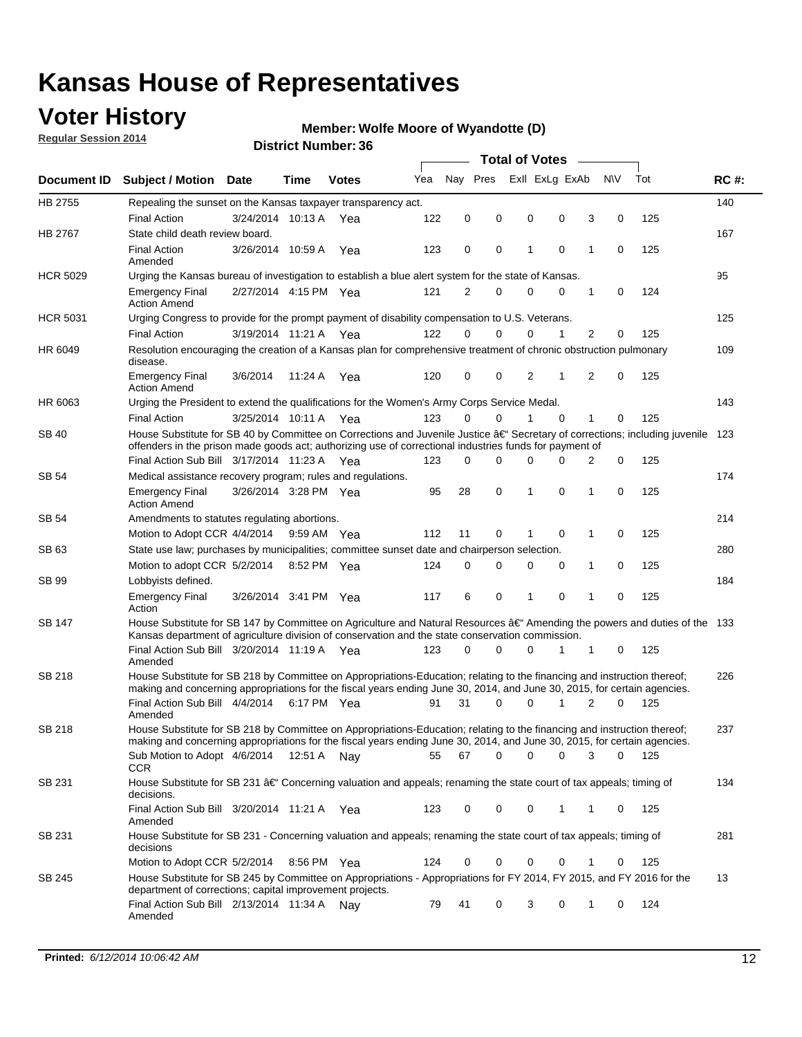### **Voter History**

**Regular Session 2014**

#### **Member: Wolfe Moore of Wyandotte (D)**

|                    |                                                                                                                                                                                                                                      |                                                           |             |           |     | <b>Total of Votes</b> |          |   |  |             |                |             |     |     |
|--------------------|--------------------------------------------------------------------------------------------------------------------------------------------------------------------------------------------------------------------------------------|-----------------------------------------------------------|-------------|-----------|-----|-----------------------|----------|---|--|-------------|----------------|-------------|-----|-----|
| <b>Document ID</b> | <b>Subject / Motion Date</b>                                                                                                                                                                                                         | Exll ExLg ExAb<br>Nav Pres<br>Yea<br>Time<br><b>Votes</b> |             | <b>NV</b> | Tot | <b>RC#:</b>           |          |   |  |             |                |             |     |     |
| HB 2755            | Repealing the sunset on the Kansas taxpayer transparency act.                                                                                                                                                                        |                                                           |             |           |     |                       |          |   |  |             |                |             |     | 140 |
|                    | <b>Final Action</b>                                                                                                                                                                                                                  | 3/24/2014 10:13 A                                         |             | Yea       | 122 | 0                     | 0        | 0 |  | 0           | 3              | 0           | 125 |     |
| HB 2767            | State child death review board.                                                                                                                                                                                                      |                                                           |             |           |     |                       |          |   |  |             |                |             |     | 167 |
|                    | <b>Final Action</b><br>Amended                                                                                                                                                                                                       | 3/26/2014 10:59 A                                         |             | Yea       | 123 | 0                     | 0        | 1 |  | $\mathbf 0$ | 1              | 0           | 125 |     |
| <b>HCR 5029</b>    | Urging the Kansas bureau of investigation to establish a blue alert system for the state of Kansas.                                                                                                                                  |                                                           |             |           |     |                       |          |   |  |             |                |             |     | 95  |
|                    | <b>Emergency Final</b><br><b>Action Amend</b>                                                                                                                                                                                        | 2/27/2014 4:15 PM Yea                                     |             |           | 121 | 2                     | 0        | 0 |  | 0           | 1              | 0           | 124 |     |
| <b>HCR 5031</b>    | Urging Congress to provide for the prompt payment of disability compensation to U.S. Veterans.                                                                                                                                       |                                                           |             |           |     |                       |          |   |  |             |                |             | 125 |     |
|                    | <b>Final Action</b>                                                                                                                                                                                                                  | 3/19/2014 11:21 A Yea                                     |             |           | 122 | $\Omega$              | $\Omega$ | 0 |  | 1           | 2              | 0           | 125 |     |
| HR 6049            | Resolution encouraging the creation of a Kansas plan for comprehensive treatment of chronic obstruction pulmonary<br>disease.                                                                                                        |                                                           |             |           |     |                       |          |   |  |             |                |             |     | 109 |
|                    | <b>Emergency Final</b><br><b>Action Amend</b>                                                                                                                                                                                        | 3/6/2014                                                  | 11:24 A     | Yea       | 120 | 0                     | 0        | 2 |  | 1           | $\overline{2}$ | $\mathbf 0$ | 125 |     |
| HR 6063            | Urging the President to extend the qualifications for the Women's Army Corps Service Medal.                                                                                                                                          |                                                           |             |           |     |                       |          |   |  |             |                |             |     | 143 |
|                    | <b>Final Action</b>                                                                                                                                                                                                                  | 3/25/2014 10:11 A Yea                                     |             |           | 123 | $\Omega$              | $\Omega$ | 1 |  | $\Omega$    | 1              | 0           | 125 |     |
| SB 40              | House Substitute for SB 40 by Committee on Corrections and Juvenile Justice †Secretary of corrections; including juvenile<br>offenders in the prison made goods act; authorizing use of correctional industries funds for payment of |                                                           |             |           |     |                       |          |   |  |             |                |             | 123 |     |
|                    | Final Action Sub Bill 3/17/2014 11:23 A Yea                                                                                                                                                                                          |                                                           |             |           | 123 | 0                     | 0        | 0 |  | $\Omega$    | 2              | 0           | 125 |     |
| SB 54              | Medical assistance recovery program; rules and regulations.                                                                                                                                                                          |                                                           |             |           |     |                       |          |   |  |             |                |             |     | 174 |
|                    | <b>Emergency Final</b><br><b>Action Amend</b>                                                                                                                                                                                        | 3/26/2014 3:28 PM Yea                                     |             |           | 95  | 28                    | 0        | 1 |  | 0           | 1              | 0           | 125 |     |
| SB 54              | Amendments to statutes regulating abortions.                                                                                                                                                                                         |                                                           |             |           |     |                       |          |   |  |             |                |             |     | 214 |
|                    | Motion to Adopt CCR 4/4/2014                                                                                                                                                                                                         |                                                           | 9:59 AM Yea |           | 112 | 11                    | 0        |   |  | $\mathbf 0$ | 1              | 0           | 125 |     |
| SB 63              | State use law; purchases by municipalities; committee sunset date and chairperson selection.                                                                                                                                         |                                                           |             |           |     |                       |          |   |  |             |                | 280         |     |     |
|                    | Motion to adopt CCR 5/2/2014                                                                                                                                                                                                         |                                                           | 8:52 PM Yea |           | 124 | 0                     | 0        | 0 |  | 0           | 1              | 0           | 125 |     |
| SB 99              | Lobbyists defined.                                                                                                                                                                                                                   |                                                           |             |           |     |                       |          |   |  |             |                |             |     | 184 |
|                    | <b>Emergency Final</b><br>Action                                                                                                                                                                                                     | 3/26/2014 3:41 PM Yea                                     |             |           | 117 | 6                     | 0        | 1 |  | 0           | 1              | 0           | 125 |     |
| SB 147             | House Substitute for SB 147 by Committee on Agriculture and Natural Resources †Amending the powers and duties of the 133<br>Kansas department of agriculture division of conservation and the state conservation commission.         |                                                           |             |           |     |                       |          |   |  |             |                |             |     |     |
|                    | Final Action Sub Bill 3/20/2014 11:19 A Yea<br>Amended                                                                                                                                                                               |                                                           |             |           | 123 | 0                     | $\Omega$ | 0 |  | 1           | 1              | 0           | 125 |     |
| SB 218             | House Substitute for SB 218 by Committee on Appropriations-Education; relating to the financing and instruction thereof;                                                                                                             |                                                           |             |           |     |                       |          |   |  |             |                |             |     | 226 |
|                    | making and concerning appropriations for the fiscal years ending June 30, 2014, and June 30, 2015, for certain agencies.<br>Final Action Sub Bill 4/4/2014                                                                           |                                                           | 6:17 PM Yea |           | 91  | 31                    | $\Omega$ | 0 |  | 1           | $\overline{2}$ | $\Omega$    | 125 |     |
|                    | Amended                                                                                                                                                                                                                              |                                                           |             |           |     |                       |          |   |  |             |                |             |     |     |
| SB 218             | House Substitute for SB 218 by Committee on Appropriations-Education; relating to the financing and instruction thereof;                                                                                                             |                                                           |             |           |     |                       |          |   |  |             |                |             |     | 237 |
|                    | making and concerning appropriations for the fiscal years ending June 30, 2014, and June 30, 2015, for certain agencies.                                                                                                             |                                                           |             |           |     |                       |          |   |  |             |                |             |     |     |
|                    | Sub Motion to Adopt 4/6/2014 12:51 A Nay                                                                                                                                                                                             |                                                           |             |           | 55  | 67                    | 0        | 0 |  | 0           | 3              | 0           | 125 |     |
| SB 231             | <b>CCR</b><br>House Substitute for SB 231 †Concerning valuation and appeals; renaming the state court of tax appeals; timing of<br>decisions.                                                                                        |                                                           |             |           |     |                       |          |   |  |             |                |             |     | 134 |
|                    | Final Action Sub Bill 3/20/2014 11:21 A Yea                                                                                                                                                                                          |                                                           |             |           | 123 | 0                     | 0        | 0 |  | 1           | 1              | 0           | 125 |     |
| SB 231             | Amended<br>House Substitute for SB 231 - Concerning valuation and appeals; renaming the state court of tax appeals; timing of<br>decisions                                                                                           |                                                           |             |           |     |                       |          |   |  |             |                |             |     | 281 |
|                    | Motion to Adopt CCR 5/2/2014                                                                                                                                                                                                         |                                                           | 8:56 PM Yea |           | 124 | 0                     | 0        | 0 |  | $\mathbf 0$ | 1              | 0           | 125 |     |
| SB 245             | House Substitute for SB 245 by Committee on Appropriations - Appropriations for FY 2014, FY 2015, and FY 2016 for the                                                                                                                |                                                           |             |           |     |                       |          |   |  |             |                |             |     | 13  |
|                    | department of corrections; capital improvement projects.<br>Final Action Sub Bill 2/13/2014 11:34 A Nay                                                                                                                              |                                                           |             |           | 79  | 41                    | 0        | 3 |  | 0           | 1              | 0           | 124 |     |
|                    | Amended                                                                                                                                                                                                                              |                                                           |             |           |     |                       |          |   |  |             |                |             |     |     |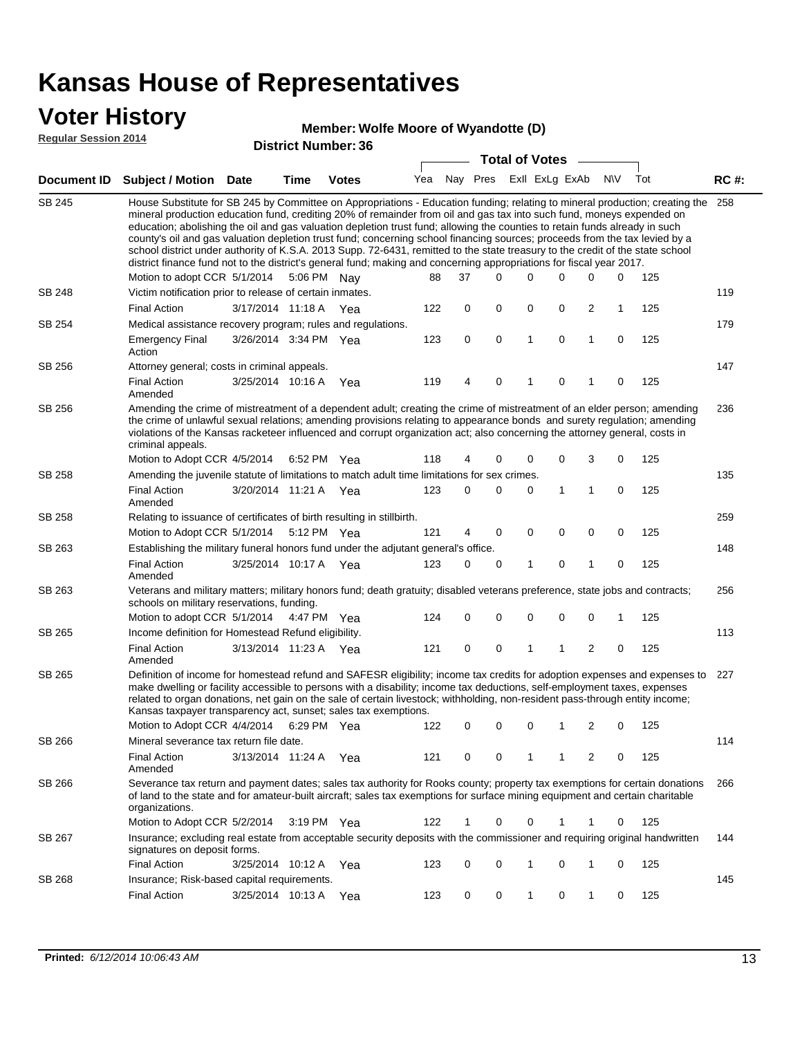### **Voter History**

#### **Member: Wolfe Moore of Wyandotte (D)**

**Regular Session 2014**

|               |                                                                                                                                                                                                                                                                                                                                                                                                                                                                                                                                                                                                                                                                                                                                                                                                                                                                          | טט. וסעוווטנו של הסוכ | <b>Total of Votes</b> |              |     |   |                         |             |   |              |             |     |             |
|---------------|--------------------------------------------------------------------------------------------------------------------------------------------------------------------------------------------------------------------------------------------------------------------------------------------------------------------------------------------------------------------------------------------------------------------------------------------------------------------------------------------------------------------------------------------------------------------------------------------------------------------------------------------------------------------------------------------------------------------------------------------------------------------------------------------------------------------------------------------------------------------------|-----------------------|-----------------------|--------------|-----|---|-------------------------|-------------|---|--------------|-------------|-----|-------------|
|               | Document ID Subject / Motion Date                                                                                                                                                                                                                                                                                                                                                                                                                                                                                                                                                                                                                                                                                                                                                                                                                                        |                       | <b>Time</b>           | <b>Votes</b> | Yea |   | Nay Pres Exll ExLg ExAb |             |   |              | <b>NV</b>   | Tot | <b>RC#:</b> |
| <b>SB 245</b> | House Substitute for SB 245 by Committee on Appropriations - Education funding; relating to mineral production; creating the<br>mineral production education fund, crediting 20% of remainder from oil and gas tax into such fund, moneys expended on<br>education; abolishing the oil and gas valuation depletion trust fund; allowing the counties to retain funds already in such<br>county's oil and gas valuation depletion trust fund; concerning school financing sources; proceeds from the tax levied by a<br>school district under authority of K.S.A. 2013 Supp. 72-6431, remitted to the state treasury to the credit of the state school<br>district finance fund not to the district's general fund; making and concerning appropriations for fiscal year 2017.<br>Motion to adopt CCR 5/1/2014<br>5:06 PM Nay<br>88<br>37<br>0<br>0<br>0<br>0<br>0<br>125 |                       |                       |              |     |   |                         |             |   |              |             |     |             |
| SB 248        | Victim notification prior to release of certain inmates.                                                                                                                                                                                                                                                                                                                                                                                                                                                                                                                                                                                                                                                                                                                                                                                                                 |                       |                       |              |     |   |                         |             |   |              |             |     | 119         |
|               | <b>Final Action</b>                                                                                                                                                                                                                                                                                                                                                                                                                                                                                                                                                                                                                                                                                                                                                                                                                                                      | 3/17/2014 11:18 A     |                       | Yea          | 122 | 0 | 0                       | 0           | 0 | 2            | 1           | 125 |             |
| SB 254        | Medical assistance recovery program; rules and regulations.                                                                                                                                                                                                                                                                                                                                                                                                                                                                                                                                                                                                                                                                                                                                                                                                              |                       |                       |              |     |   |                         |             |   |              |             |     | 179         |
|               | <b>Emergency Final</b><br>Action                                                                                                                                                                                                                                                                                                                                                                                                                                                                                                                                                                                                                                                                                                                                                                                                                                         | 3/26/2014 3:34 PM Yea |                       |              | 123 | 0 | $\mathbf 0$             | 1           | 0 | 1            | $\mathbf 0$ | 125 |             |
| SB 256        | Attorney general; costs in criminal appeals.                                                                                                                                                                                                                                                                                                                                                                                                                                                                                                                                                                                                                                                                                                                                                                                                                             |                       |                       |              |     |   |                         |             |   |              |             |     | 147         |
|               | <b>Final Action</b><br>Amended                                                                                                                                                                                                                                                                                                                                                                                                                                                                                                                                                                                                                                                                                                                                                                                                                                           | 3/25/2014 10:16 A     |                       | Yea          | 119 | 4 | 0                       | 1           | 0 | 1            | 0           | 125 |             |
| SB 256        | Amending the crime of mistreatment of a dependent adult; creating the crime of mistreatment of an elder person; amending<br>the crime of unlawful sexual relations; amending provisions relating to appearance bonds and surety regulation; amending<br>violations of the Kansas racketeer influenced and corrupt organization act; also concerning the attorney general, costs in<br>criminal appeals.                                                                                                                                                                                                                                                                                                                                                                                                                                                                  |                       |                       |              |     |   |                         |             |   |              |             |     | 236         |
|               | Motion to Adopt CCR 4/5/2014                                                                                                                                                                                                                                                                                                                                                                                                                                                                                                                                                                                                                                                                                                                                                                                                                                             |                       | 6:52 PM Yea           |              | 118 | 4 | 0                       | 0           | 0 | 3            | 0           | 125 |             |
| SB 258        | Amending the juvenile statute of limitations to match adult time limitations for sex crimes.                                                                                                                                                                                                                                                                                                                                                                                                                                                                                                                                                                                                                                                                                                                                                                             |                       |                       |              |     |   |                         |             |   |              |             |     | 135         |
|               | <b>Final Action</b><br>Amended                                                                                                                                                                                                                                                                                                                                                                                                                                                                                                                                                                                                                                                                                                                                                                                                                                           | 3/20/2014 11:21 A Yea |                       |              | 123 | 0 | 0                       | 0           | 1 | 1            | 0           | 125 |             |
| SB 258        | Relating to issuance of certificates of birth resulting in stillbirth.                                                                                                                                                                                                                                                                                                                                                                                                                                                                                                                                                                                                                                                                                                                                                                                                   |                       |                       |              |     |   |                         |             |   |              |             |     | 259         |
|               | Motion to Adopt CCR 5/1/2014                                                                                                                                                                                                                                                                                                                                                                                                                                                                                                                                                                                                                                                                                                                                                                                                                                             |                       | 5:12 PM Yea           |              | 121 | 4 | 0                       | 0           | 0 | 0            | 0           | 125 |             |
| SB 263        | Establishing the military funeral honors fund under the adjutant general's office.                                                                                                                                                                                                                                                                                                                                                                                                                                                                                                                                                                                                                                                                                                                                                                                       |                       |                       |              |     |   |                         |             |   |              |             |     | 148         |
|               | <b>Final Action</b><br>Amended                                                                                                                                                                                                                                                                                                                                                                                                                                                                                                                                                                                                                                                                                                                                                                                                                                           | 3/25/2014 10:17 A Yea |                       |              | 123 | 0 | 0                       | 1           | 0 | $\mathbf{1}$ | 0           | 125 |             |
| SB 263        | Veterans and military matters; military honors fund; death gratuity; disabled veterans preference, state jobs and contracts;<br>schools on military reservations, funding.                                                                                                                                                                                                                                                                                                                                                                                                                                                                                                                                                                                                                                                                                               |                       |                       |              |     |   |                         |             |   |              |             |     | 256         |
|               | Motion to adopt CCR 5/1/2014 4:47 PM Yea                                                                                                                                                                                                                                                                                                                                                                                                                                                                                                                                                                                                                                                                                                                                                                                                                                 |                       |                       |              | 124 | 0 | 0                       | $\mathbf 0$ | 0 | 0            | 1           | 125 |             |
| SB 265        | Income definition for Homestead Refund eligibility.                                                                                                                                                                                                                                                                                                                                                                                                                                                                                                                                                                                                                                                                                                                                                                                                                      |                       |                       |              |     |   |                         |             |   |              |             |     | 113         |
|               | <b>Final Action</b><br>Amended                                                                                                                                                                                                                                                                                                                                                                                                                                                                                                                                                                                                                                                                                                                                                                                                                                           | 3/13/2014 11:23 A Yea |                       |              | 121 | 0 | 0                       | 1           | 1 | 2            | 0           | 125 |             |
| SB 265        | Definition of income for homestead refund and SAFESR eligibility; income tax credits for adoption expenses and expenses to<br>make dwelling or facility accessible to persons with a disability; income tax deductions, self-employment taxes, expenses<br>related to organ donations, net gain on the sale of certain livestock; withholding, non-resident pass-through entity income;<br>Kansas taxpayer transparency act, sunset; sales tax exemptions.<br>Motion to Adopt CCR 4/4/2014<br>122<br>0<br>2<br>6:29 PM Yea<br>0<br>0<br>1<br>0                                                                                                                                                                                                                                                                                                                           |                       |                       |              |     |   |                         |             |   |              |             | 125 | 227         |
| SB 266        | Mineral severance tax return file date.                                                                                                                                                                                                                                                                                                                                                                                                                                                                                                                                                                                                                                                                                                                                                                                                                                  |                       |                       |              |     |   |                         |             |   |              |             |     | 114         |
|               | <b>Final Action</b><br>Amended                                                                                                                                                                                                                                                                                                                                                                                                                                                                                                                                                                                                                                                                                                                                                                                                                                           | 3/13/2014 11:24 A     |                       | Yea          | 121 | 0 | 0                       | 1           | 1 | 2            | 0           | 125 |             |
| SB 266        | Severance tax return and payment dates; sales tax authority for Rooks county; property tax exemptions for certain donations<br>of land to the state and for amateur-built aircraft; sales tax exemptions for surface mining equipment and certain charitable<br>organizations.                                                                                                                                                                                                                                                                                                                                                                                                                                                                                                                                                                                           |                       |                       |              |     |   |                         |             |   |              |             |     | 266         |
|               | Motion to Adopt CCR 5/2/2014                                                                                                                                                                                                                                                                                                                                                                                                                                                                                                                                                                                                                                                                                                                                                                                                                                             |                       | $3:19 \text{ PM}$ Yea |              | 122 | 1 | 0                       | 0           | 1 | 1            | 0           | 125 |             |
| SB 267        | Insurance; excluding real estate from acceptable security deposits with the commissioner and requiring original handwritten<br>signatures on deposit forms.                                                                                                                                                                                                                                                                                                                                                                                                                                                                                                                                                                                                                                                                                                              |                       |                       |              |     |   |                         |             |   |              |             |     | 144         |
|               | <b>Final Action</b>                                                                                                                                                                                                                                                                                                                                                                                                                                                                                                                                                                                                                                                                                                                                                                                                                                                      | 3/25/2014 10:12 A     |                       | Yea          | 123 | 0 | 0                       | 1           | 0 | $\mathbf{1}$ | 0           | 125 |             |
| SB 268        | Insurance; Risk-based capital requirements.                                                                                                                                                                                                                                                                                                                                                                                                                                                                                                                                                                                                                                                                                                                                                                                                                              |                       |                       |              |     |   |                         |             |   |              |             |     | 145         |
|               | <b>Final Action</b>                                                                                                                                                                                                                                                                                                                                                                                                                                                                                                                                                                                                                                                                                                                                                                                                                                                      | 3/25/2014 10:13 A     |                       | Yea          | 123 | 0 | 0                       | 1           | 0 | $\mathbf{1}$ | 0           | 125 |             |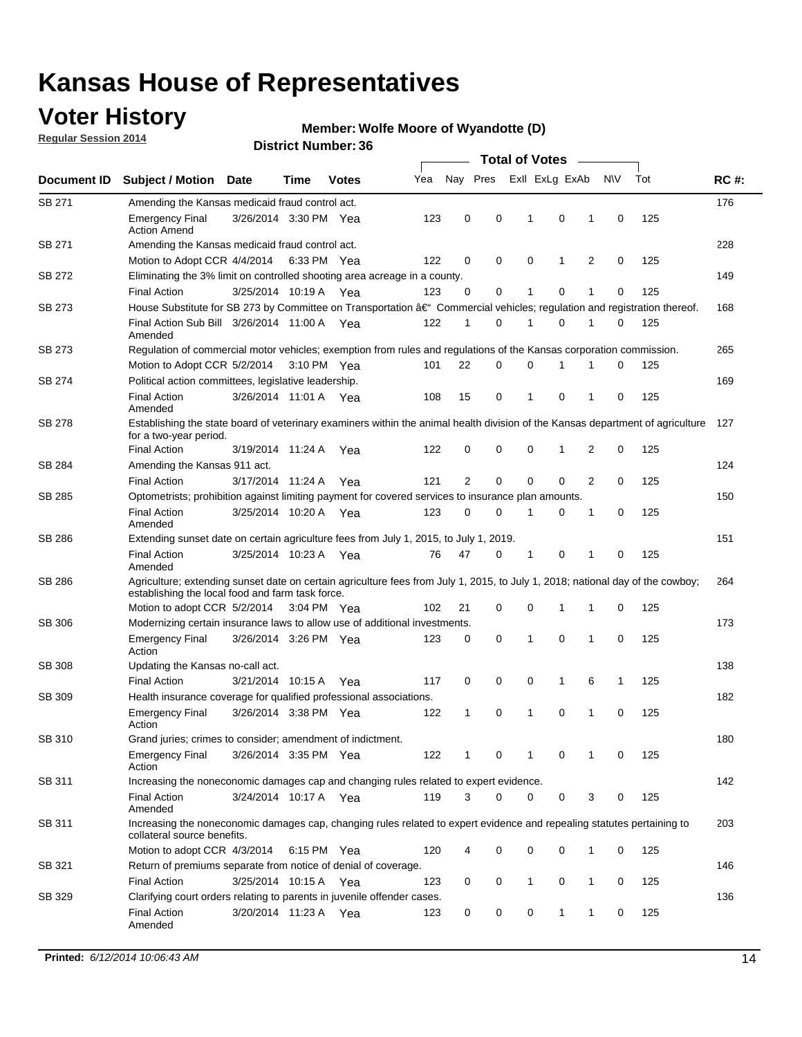### **Voter History**

**Regular Session 2014**

#### **Member: Wolfe Moore of Wyandotte (D)**

|               |                                                                                                                                                                                    |                       |      |              |     | <b>Total of Votes</b> |             |                |              |   |             |     |             |  |
|---------------|------------------------------------------------------------------------------------------------------------------------------------------------------------------------------------|-----------------------|------|--------------|-----|-----------------------|-------------|----------------|--------------|---|-------------|-----|-------------|--|
| Document ID   | <b>Subject / Motion Date</b>                                                                                                                                                       |                       | Time | <b>Votes</b> | Yea | Nay Pres              |             | Exll ExLg ExAb |              |   | N\V         | Tot | <b>RC#:</b> |  |
| SB 271        | Amending the Kansas medicaid fraud control act.                                                                                                                                    |                       |      |              |     |                       |             |                |              |   |             |     | 176         |  |
|               | <b>Emergency Final</b><br><b>Action Amend</b>                                                                                                                                      | 3/26/2014 3:30 PM Yea |      |              | 123 | 0                     | 0           | 1              | 0            | 1 | $\mathbf 0$ | 125 |             |  |
| SB 271        | Amending the Kansas medicaid fraud control act.                                                                                                                                    |                       |      |              |     |                       |             |                |              |   |             |     | 228         |  |
|               | Motion to Adopt CCR 4/4/2014 6:33 PM Yea                                                                                                                                           |                       |      |              | 122 | 0                     | 0           | 0              | 1            | 2 | 0           | 125 |             |  |
| SB 272        | Eliminating the 3% limit on controlled shooting area acreage in a county.                                                                                                          |                       |      |              |     |                       |             |                |              |   |             |     | 149         |  |
|               | <b>Final Action</b>                                                                                                                                                                | 3/25/2014 10:19 A Yea |      |              | 123 | 0                     | 0           | 1              | 0            | 1 | $\mathbf 0$ | 125 |             |  |
| SB 273        | House Substitute for SB 273 by Committee on Transportation †Commercial vehicles; regulation and registration thereof.                                                              |                       |      |              |     |                       |             |                |              |   |             |     | 168         |  |
|               | Final Action Sub Bill 3/26/2014 11:00 A Yea<br>Amended                                                                                                                             |                       |      |              | 122 | 1                     | 0           | 1              | 0            | 1 | 0           | 125 |             |  |
| SB 273        | Regulation of commercial motor vehicles; exemption from rules and regulations of the Kansas corporation commission.                                                                |                       |      |              |     |                       |             |                |              |   |             |     | 265         |  |
|               | Motion to Adopt CCR 5/2/2014 3:10 PM Yea                                                                                                                                           |                       |      |              | 101 | 22                    | 0           | 0              | 1            | 1 | 0           | 125 |             |  |
| SB 274        | Political action committees, legislative leadership.                                                                                                                               |                       |      |              |     |                       |             |                |              |   |             |     | 169         |  |
|               | <b>Final Action</b><br>Amended                                                                                                                                                     | 3/26/2014 11:01 A Yea |      |              | 108 | 15                    | 0           | -1             | 0            | 1 | 0           | 125 |             |  |
| <b>SB 278</b> | Establishing the state board of veterinary examiners within the animal health division of the Kansas department of agriculture<br>for a two-year period.                           |                       |      |              |     |                       |             |                |              |   |             |     |             |  |
|               | <b>Final Action</b>                                                                                                                                                                | 3/19/2014 11:24 A     |      | Yea          | 122 | 0                     | 0           | 0              | 1            | 2 | 0           | 125 |             |  |
| SB 284        | Amending the Kansas 911 act.                                                                                                                                                       |                       |      |              |     |                       |             |                |              |   |             |     | 124         |  |
|               | <b>Final Action</b>                                                                                                                                                                | 3/17/2014 11:24 A     |      | Yea          | 121 | $\overline{2}$        | $\mathbf 0$ | $\mathbf 0$    | $\mathbf 0$  | 2 | 0           | 125 |             |  |
| SB 285        | Optometrists; prohibition against limiting payment for covered services to insurance plan amounts.                                                                                 |                       |      |              |     |                       |             |                |              |   |             |     | 150         |  |
|               | <b>Final Action</b><br>Amended                                                                                                                                                     | 3/25/2014 10:20 A     |      | Yea          | 123 | 0                     | 0           | $\mathbf{1}$   | 0            | 1 | 0           | 125 |             |  |
| SB 286        | Extending sunset date on certain agriculture fees from July 1, 2015, to July 1, 2019.                                                                                              |                       |      |              |     |                       |             |                |              |   |             |     | 151         |  |
|               | <b>Final Action</b><br>Amended                                                                                                                                                     | 3/25/2014 10:23 A Yea |      |              | 76  | 47                    | 0           | $\mathbf{1}$   | 0            | 1 | 0           | 125 |             |  |
| SB 286        | Agriculture; extending sunset date on certain agriculture fees from July 1, 2015, to July 1, 2018; national day of the cowboy;<br>establishing the local food and farm task force. |                       |      |              |     |                       |             |                |              |   |             |     | 264         |  |
|               | Motion to adopt CCR 5/2/2014 3:04 PM Yea                                                                                                                                           |                       |      |              | 102 | 21                    | 0           | 0              | 1            | 1 | 0           | 125 |             |  |
| SB 306        | Modernizing certain insurance laws to allow use of additional investments.                                                                                                         |                       |      |              |     |                       |             |                |              |   |             |     | 173         |  |
|               | <b>Emergency Final</b><br>Action                                                                                                                                                   | 3/26/2014 3:26 PM Yea |      |              | 123 | 0                     | 0           | 1              | $\mathbf 0$  | 1 | 0           | 125 |             |  |
| <b>SB 308</b> | Updating the Kansas no-call act.                                                                                                                                                   |                       |      |              |     |                       |             |                |              |   |             |     | 138         |  |
|               | <b>Final Action</b>                                                                                                                                                                | 3/21/2014 10:15 A     |      | Yea          | 117 | 0                     | 0           | 0              | $\mathbf{1}$ | 6 | 1           | 125 |             |  |
| SB 309        | Health insurance coverage for qualified professional associations.                                                                                                                 |                       |      |              |     |                       |             |                |              |   |             |     | 182         |  |
|               | <b>Emergency Final</b><br>Action                                                                                                                                                   | 3/26/2014 3:38 PM Yea |      |              | 122 | 1                     | 0           | 1              | 0            | 1 | 0           | 125 |             |  |
| SB 310        | Grand juries; crimes to consider; amendment of indictment.                                                                                                                         |                       |      |              |     |                       |             |                |              |   |             |     | 180         |  |
|               | <b>Emergency Final</b><br>Action                                                                                                                                                   | 3/26/2014 3:35 PM Yea |      |              | 122 | 1                     | 0           | 1              | 0            | 1 | 0           | 125 |             |  |
| SB 311        | Increasing the noneconomic damages cap and changing rules related to expert evidence.                                                                                              |                       |      |              |     |                       |             |                |              |   |             |     | 142         |  |
|               | <b>Final Action</b><br>Amended                                                                                                                                                     | 3/24/2014 10:17 A Yea |      |              | 119 | 3                     | $\Omega$    | 0              | 0            | 3 | 0           | 125 |             |  |
| SB 311        | Increasing the noneconomic damages cap, changing rules related to expert evidence and repealing statutes pertaining to<br>collateral source benefits.                              |                       |      |              |     |                       |             |                |              |   |             |     | 203         |  |
|               | Motion to adopt CCR 4/3/2014 6:15 PM Yea                                                                                                                                           |                       |      |              | 120 | 4                     | 0           | 0              | 0            | 1 | 0           | 125 |             |  |
| SB 321        | Return of premiums separate from notice of denial of coverage.                                                                                                                     |                       |      |              |     |                       |             |                |              |   |             |     | 146         |  |
|               | <b>Final Action</b>                                                                                                                                                                | 3/25/2014 10:15 A Yea |      |              | 123 | 0                     | 0           | 1              | 0            | 1 | 0           | 125 |             |  |
| SB 329        | Clarifying court orders relating to parents in juvenile offender cases.<br><b>Final Action</b><br>Amended                                                                          | 3/20/2014 11:23 A Yea |      |              | 123 | 0                     | 0           | 0              | 1            | 1 | 0           | 125 | 136         |  |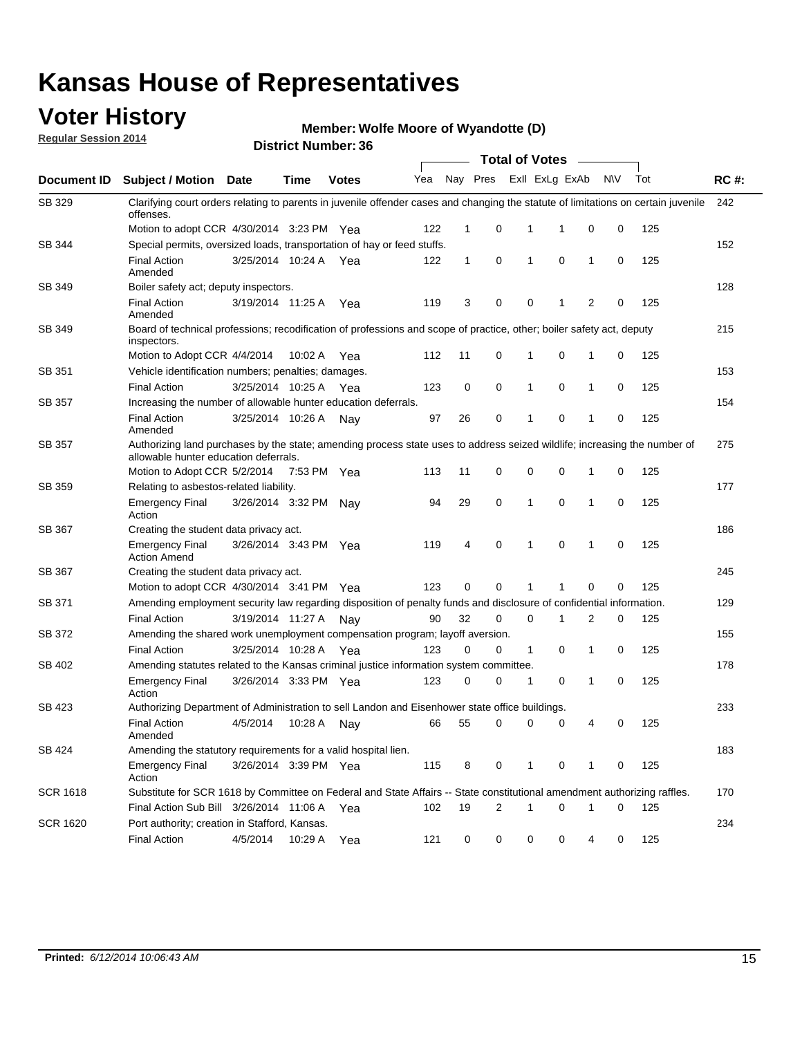### **Voter History**

**Regular Session 2014**

#### **Member: Wolfe Moore of Wyandotte (D)**

|                 |                                                                                                                                                                    | <b>Total of Votes</b> |             |              |     |              |          |  |              |                |          |   |     |             |  |  |  |  |  |  |  |  |
|-----------------|--------------------------------------------------------------------------------------------------------------------------------------------------------------------|-----------------------|-------------|--------------|-----|--------------|----------|--|--------------|----------------|----------|---|-----|-------------|--|--|--|--|--|--|--|--|
| Document ID     | <b>Subject / Motion Date</b>                                                                                                                                       |                       | Time        | <b>Votes</b> | Yea |              | Nay Pres |  |              | Exll ExLg ExAb | N\V      |   | Tot | <b>RC#:</b> |  |  |  |  |  |  |  |  |
| SB 329          | Clarifying court orders relating to parents in juvenile offender cases and changing the statute of limitations on certain juvenile<br>offenses.                    |                       |             |              |     |              |          |  |              |                |          |   |     | 242         |  |  |  |  |  |  |  |  |
|                 | Motion to adopt CCR 4/30/2014 3:23 PM Yea                                                                                                                          |                       |             |              | 122 | 1            | 0        |  | 1            | -1             | 0        | 0 | 125 |             |  |  |  |  |  |  |  |  |
| SB 344          | Special permits, oversized loads, transportation of hay or feed stuffs.                                                                                            |                       |             |              |     |              |          |  |              |                |          |   |     | 152         |  |  |  |  |  |  |  |  |
|                 | <b>Final Action</b><br>Amended                                                                                                                                     | 3/25/2014 10:24 A     |             | Yea          | 122 | $\mathbf{1}$ | 0        |  | 1            | 0              | 1        | 0 | 125 |             |  |  |  |  |  |  |  |  |
| SB 349          | Boiler safety act; deputy inspectors.                                                                                                                              |                       |             |              |     |              |          |  |              |                |          |   |     | 128         |  |  |  |  |  |  |  |  |
|                 | <b>Final Action</b><br>Amended                                                                                                                                     | 3/19/2014 11:25 A     |             | Yea          | 119 | 3            | 0        |  | $\mathbf 0$  | -1             | 2        | 0 | 125 |             |  |  |  |  |  |  |  |  |
| SB 349          | Board of technical professions; recodification of professions and scope of practice, other; boiler safety act, deputy<br>inspectors.                               |                       |             |              |     |              |          |  |              |                |          |   | 215 |             |  |  |  |  |  |  |  |  |
|                 | Motion to Adopt CCR 4/4/2014                                                                                                                                       |                       | 10:02 A     | Yea          | 112 | 11           | 0        |  | 1            | $\mathbf 0$    | 1        | 0 | 125 |             |  |  |  |  |  |  |  |  |
| SB 351          | Vehicle identification numbers; penalties; damages.                                                                                                                |                       |             |              |     |              |          |  |              |                |          |   |     | 153         |  |  |  |  |  |  |  |  |
|                 | <b>Final Action</b>                                                                                                                                                | 3/25/2014 10:25 A     |             | Yea          | 123 | 0            | 0        |  | 1            | 0              | 1        | 0 | 125 |             |  |  |  |  |  |  |  |  |
| SB 357          | Increasing the number of allowable hunter education deferrals.                                                                                                     |                       |             |              |     |              |          |  |              |                |          |   |     | 154         |  |  |  |  |  |  |  |  |
|                 | <b>Final Action</b><br>Amended                                                                                                                                     | 3/25/2014 10:26 A     |             | Nav          | 97  | 26           | 0        |  | 1            | $\mathbf 0$    | 1        | 0 | 125 |             |  |  |  |  |  |  |  |  |
| SB 357          | Authorizing land purchases by the state; amending process state uses to address seized wildlife; increasing the number of<br>allowable hunter education deferrals. |                       |             |              |     |              |          |  |              |                |          |   |     | 275         |  |  |  |  |  |  |  |  |
|                 | Motion to Adopt CCR 5/2/2014                                                                                                                                       |                       | 7:53 PM Yea |              | 113 | 11           | 0        |  | 0            | $\mathbf 0$    | 1        | 0 | 125 |             |  |  |  |  |  |  |  |  |
| SB 359          | Relating to asbestos-related liability.                                                                                                                            |                       |             |              |     |              |          |  |              |                | 177      |   |     |             |  |  |  |  |  |  |  |  |
|                 | <b>Emergency Final</b><br>Action                                                                                                                                   | 3/26/2014 3:32 PM     |             | Nav          | 94  | 29           | 0        |  | $\mathbf{1}$ | 0              | 1        | 0 | 125 |             |  |  |  |  |  |  |  |  |
| SB 367          | Creating the student data privacy act.                                                                                                                             |                       |             |              |     |              |          |  |              |                |          |   |     | 186         |  |  |  |  |  |  |  |  |
|                 | <b>Emergency Final</b><br><b>Action Amend</b>                                                                                                                      | 3/26/2014 3:43 PM Yea |             |              | 119 | 4            | 0        |  | 1            | 0              | 1        | 0 | 125 |             |  |  |  |  |  |  |  |  |
| SB 367          | Creating the student data privacy act.                                                                                                                             |                       |             |              |     |              |          |  |              |                |          |   |     | 245         |  |  |  |  |  |  |  |  |
|                 | Motion to adopt CCR 4/30/2014 3:41 PM Yea                                                                                                                          |                       |             |              | 123 | 0            | $\Omega$ |  | 1            | 1              | $\Omega$ | 0 | 125 |             |  |  |  |  |  |  |  |  |
| SB 371          | Amending employment security law regarding disposition of penalty funds and disclosure of confidential information.                                                |                       |             |              |     |              |          |  |              |                |          |   |     | 129         |  |  |  |  |  |  |  |  |
|                 | <b>Final Action</b>                                                                                                                                                | 3/19/2014 11:27 A     |             | Nav          | 90  | 32           | 0        |  | 0            | 1              | 2        | 0 | 125 |             |  |  |  |  |  |  |  |  |
| SB 372          | Amending the shared work unemployment compensation program; layoff aversion.                                                                                       |                       |             |              |     |              |          |  |              |                |          |   |     | 155         |  |  |  |  |  |  |  |  |
|                 | <b>Final Action</b>                                                                                                                                                | 3/25/2014 10:28 A     |             | Yea          | 123 | 0            | 0        |  | $\mathbf{1}$ | 0              | 1        | 0 | 125 |             |  |  |  |  |  |  |  |  |
| SB 402          | Amending statutes related to the Kansas criminal justice information system committee.                                                                             |                       |             |              |     |              |          |  |              |                |          |   |     | 178         |  |  |  |  |  |  |  |  |
|                 | <b>Emergency Final</b><br>Action                                                                                                                                   | 3/26/2014 3:33 PM Yea |             |              | 123 | 0            | 0        |  | 1            | 0              | 1        | 0 | 125 |             |  |  |  |  |  |  |  |  |
| SB 423          | Authorizing Department of Administration to sell Landon and Eisenhower state office buildings.                                                                     |                       |             |              |     |              |          |  |              |                |          |   |     | 233         |  |  |  |  |  |  |  |  |
|                 | <b>Final Action</b><br>Amended                                                                                                                                     | 4/5/2014              | 10:28 A     | Nay          | 66  | 55           | 0        |  | 0            | 0              | 4        | 0 | 125 |             |  |  |  |  |  |  |  |  |
| SB 424          | Amending the statutory requirements for a valid hospital lien.                                                                                                     |                       |             |              |     |              |          |  |              |                |          |   |     | 183         |  |  |  |  |  |  |  |  |
|                 | <b>Emergency Final</b><br>Action                                                                                                                                   | 3/26/2014 3:39 PM Yea |             |              | 115 | 8            | 0        |  | $\mathbf{1}$ | 0              | 1        | 0 | 125 |             |  |  |  |  |  |  |  |  |
| <b>SCR 1618</b> | Substitute for SCR 1618 by Committee on Federal and State Affairs -- State constitutional amendment authorizing raffles.                                           |                       |             |              |     |              |          |  |              |                |          |   |     | 170         |  |  |  |  |  |  |  |  |
|                 | Final Action Sub Bill 3/26/2014 11:06 A Yea                                                                                                                        |                       |             |              | 102 | 19           | 2        |  | 1            | 0              | 1        | 0 | 125 |             |  |  |  |  |  |  |  |  |
| <b>SCR 1620</b> | Port authority; creation in Stafford, Kansas.                                                                                                                      |                       |             |              |     |              |          |  |              |                |          |   |     | 234         |  |  |  |  |  |  |  |  |
|                 | <b>Final Action</b>                                                                                                                                                | 4/5/2014              | 10:29 A     | Yea          | 121 | 0            | 0        |  | 0            | 0              | 4        | 0 | 125 |             |  |  |  |  |  |  |  |  |